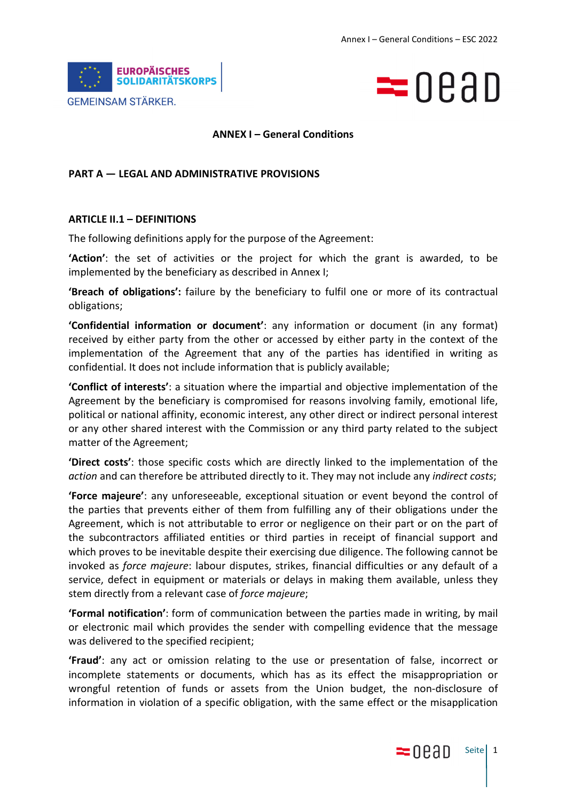



### **ANNEX I – General Conditions**

### **PART A — LEGAL AND ADMINISTRATIVE PROVISIONS**

### **ARTICLE II.1 – DEFINITIONS**

The following definitions apply for the purpose of the Agreement:

**'Action'**: the set of activities or the project for which the grant is awarded, to be implemented by the beneficiary as described in Annex I;

**'Breach of obligations':** failure by the beneficiary to fulfil one or more of its contractual obligations;

**'Confidential information or document'**: any information or document (in any format) received by either party from the other or accessed by either party in the context of the implementation of the Agreement that any of the parties has identified in writing as confidential. It does not include information that is publicly available;

**'Conflict of interests'**: a situation where the impartial and objective implementation of the Agreement by the beneficiary is compromised for reasons involving family, emotional life, political or national affinity, economic interest, any other direct or indirect personal interest or any other shared interest with the Commission or any third party related to the subject matter of the Agreement;

**'Direct costs'**: those specific costs which are directly linked to the implementation of the *action* and can therefore be attributed directly to it. They may not include any *indirect costs*;

**'Force majeure'**: any unforeseeable, exceptional situation or event beyond the control of the parties that prevents either of them from fulfilling any of their obligations under the Agreement, which is not attributable to error or negligence on their part or on the part of the subcontractors affiliated entities or third parties in receipt of financial support and which proves to be inevitable despite their exercising due diligence. The following cannot be invoked as *force majeure*: labour disputes, strikes, financial difficulties or any default of a service, defect in equipment or materials or delays in making them available, unless they stem directly from a relevant case of *force majeure*;

**'Formal notification'**: form of communication between the parties made in writing, by mail or electronic mail which provides the sender with compelling evidence that the message was delivered to the specified recipient;

**'Fraud'**: any act or omission relating to the use or presentation of false, incorrect or incomplete statements or documents, which has as its effect the misappropriation or wrongful retention of funds or assets from the Union budget, the non-disclosure of information in violation of a specific obligation, with the same effect or the misapplication

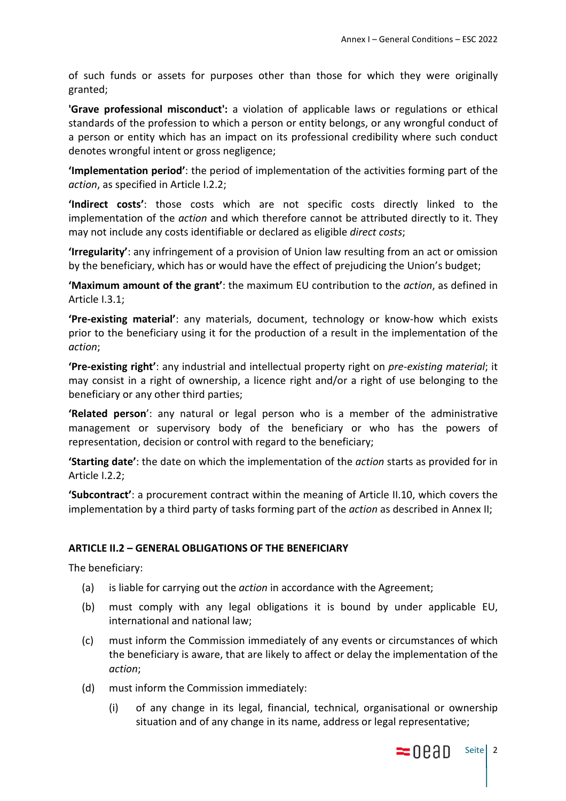of such funds or assets for purposes other than those for which they were originally granted;

**'Grave professional misconduct':** a violation of applicable laws or regulations or ethical standards of the profession to which a person or entity belongs, or any wrongful conduct of a person or entity which has an impact on its professional credibility where such conduct denotes wrongful intent or gross negligence;

**'Implementation period'**: the period of implementation of the activities forming part of the *action*, as specified in Article I.2.2;

**'Indirect costs'**: those costs which are not specific costs directly linked to the implementation of the *action* and which therefore cannot be attributed directly to it. They may not include any costs identifiable or declared as eligible *direct costs*;

**'Irregularity'**: any infringement of a provision of Union law resulting from an act or omission by the beneficiary, which has or would have the effect of prejudicing the Union's budget;

**'Maximum amount of the grant'**: the maximum EU contribution to the *action*, as defined in Article I.3.1;

**'Pre-existing material'**: any materials, document, technology or know-how which exists prior to the beneficiary using it for the production of a result in the implementation of the *action*;

**'Pre-existing right'**: any industrial and intellectual property right on *pre-existing material*; it may consist in a right of ownership, a licence right and/or a right of use belonging to the beneficiary or any other third parties;

**'Related person**': any natural or legal person who is a member of the administrative management or supervisory body of the beneficiary or who has the powers of representation, decision or control with regard to the beneficiary;

**'Starting date'**: the date on which the implementation of the *action* starts as provided for in Article I.2.2;

**'Subcontract'**: a procurement contract within the meaning of Article II.10, which covers the implementation by a third party of tasks forming part of the *action* as described in Annex II;

# **ARTICLE II.2 – GENERAL OBLIGATIONS OF THE BENEFICIARY**

The beneficiary:

- (a) is liable for carrying out the *action* in accordance with the Agreement;
- (b) must comply with any legal obligations it is bound by under applicable EU, international and national law;
- (c) must inform the Commission immediately of any events or circumstances of which the beneficiary is aware, that are likely to affect or delay the implementation of the *action*;
- (d) must inform the Commission immediately:
	- (i) of any change in its legal, financial, technical, organisational or ownership situation and of any change in its name, address or legal representative;

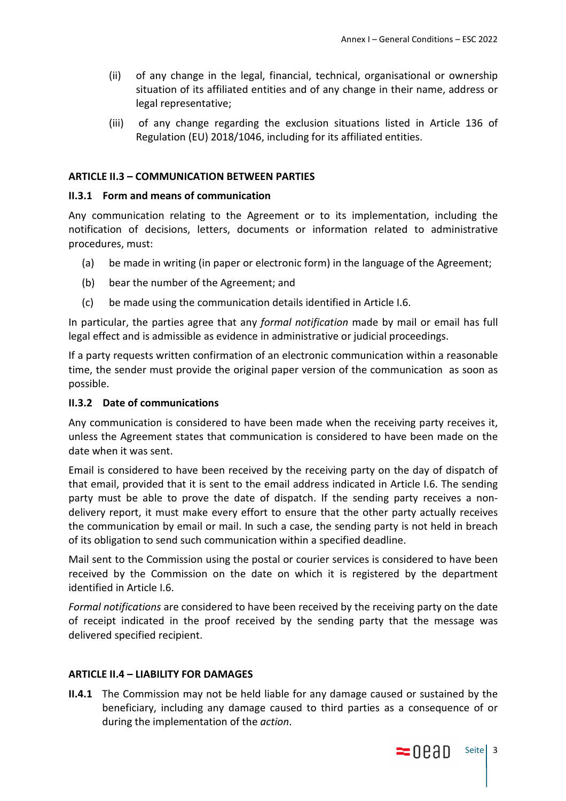- (ii) of any change in the legal, financial, technical, organisational or ownership situation of its affiliated entities and of any change in their name, address or legal representative;
- (iii) of any change regarding the exclusion situations listed in Article 136 of Regulation (EU) 2018/1046, including for its affiliated entities.

### **ARTICLE II.3 – COMMUNICATION BETWEEN PARTIES**

#### **II.3.1 Form and means of communication**

Any communication relating to the Agreement or to its implementation, including the notification of decisions, letters, documents or information related to administrative procedures, must:

- (a) be made in writing (in paper or electronic form) in the language of the Agreement;
- (b) bear the number of the Agreement; and
- (c) be made using the communication details identified in Article I.6.

In particular, the parties agree that any *formal notification* made by mail or email has full legal effect and is admissible as evidence in administrative or judicial proceedings.

If a party requests written confirmation of an electronic communication within a reasonable time, the sender must provide the original paper version of the communication as soon as possible.

#### **II.3.2 Date of communications**

Any communication is considered to have been made when the receiving party receives it, unless the Agreement states that communication is considered to have been made on the date when it was sent.

Email is considered to have been received by the receiving party on the day of dispatch of that email, provided that it is sent to the email address indicated in Article I.6. The sending party must be able to prove the date of dispatch. If the sending party receives a nondelivery report, it must make every effort to ensure that the other party actually receives the communication by email or mail. In such a case, the sending party is not held in breach of its obligation to send such communication within a specified deadline.

Mail sent to the Commission using the postal or courier services is considered to have been received by the Commission on the date on which it is registered by the department identified in Article I.6.

*Formal notifications* are considered to have been received by the receiving party on the date of receipt indicated in the proof received by the sending party that the message was delivered specified recipient.

#### **ARTICLE II.4 – LIABILITY FOR DAMAGES**

**II.4.1** The Commission may not be held liable for any damage caused or sustained by the beneficiary, including any damage caused to third parties as a consequence of or during the implementation of the *action*.

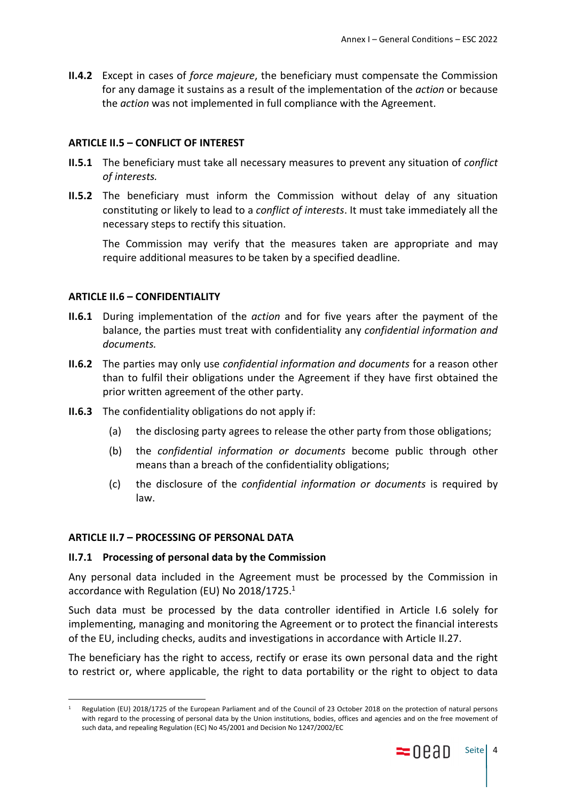**II.4.2** Except in cases of *force majeure*, the beneficiary must compensate the Commission for any damage it sustains as a result of the implementation of the *action* or because the *action* was not implemented in full compliance with the Agreement.

### **ARTICLE II.5 – CONFLICT OF INTEREST**

- **II.5.1** The beneficiary must take all necessary measures to prevent any situation of *conflict of interests.*
- **II.5.2** The beneficiary must inform the Commission without delay of any situation constituting or likely to lead to a *conflict of interests*. It must take immediately all the necessary steps to rectify this situation.

The Commission may verify that the measures taken are appropriate and may require additional measures to be taken by a specified deadline.

# **ARTICLE II.6 – CONFIDENTIALITY**

- **II.6.1** During implementation of the *action* and for five years after the payment of the balance, the parties must treat with confidentiality any *confidential information and documents.*
- **II.6.2** The parties may only use *confidential information and documents* for a reason other than to fulfil their obligations under the Agreement if they have first obtained the prior written agreement of the other party.
- **II.6.3** The confidentiality obligations do not apply if:
	- (a) the disclosing party agrees to release the other party from those obligations;
	- (b) the *confidential information or documents* become public through other means than a breach of the confidentiality obligations;
	- (c) the disclosure of the *confidential information or documents* is required by law.

## **ARTICLE II.7 – PROCESSING OF PERSONAL DATA**

### **II.7.1 Processing of personal data by the Commission**

Any personal data included in the Agreement must be processed by the Commission in accordance with Regulation (EU) No 2018/1725.<sup>1</sup>

Such data must be processed by the data controller identified in Article I.6 solely for implementing, managing and monitoring the Agreement or to protect the financial interests of the EU, including checks, audits and investigations in accordance with Article II.27.

The beneficiary has the right to access, rectify or erase its own personal data and the right to restrict or, where applicable, the right to data portability or the right to object to data

<sup>1</sup> Regulation (EU) 2018/1725 of the European Parliament and of the Council of 23 October 2018 on the protection of natural persons with regard to the processing of personal data by the Union institutions, bodies, offices and agencies and on the free movement of such data, and repealing Regulation (EC) No 45/2001 and Decision No 1247/2002/EC

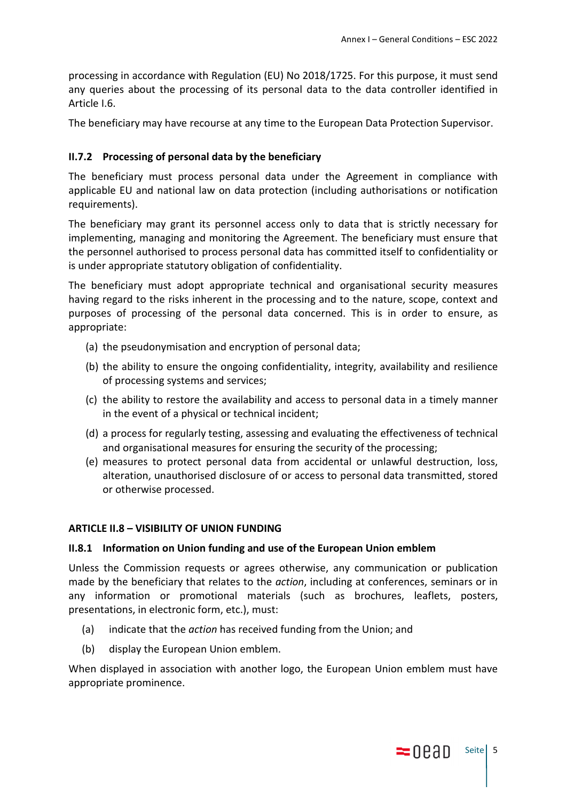processing in accordance with Regulation (EU) No 2018/1725. For this purpose, it must send any queries about the processing of its personal data to the data controller identified in Article I.6.

The beneficiary may have recourse at any time to the European Data Protection Supervisor.

# **II.7.2 Processing of personal data by the beneficiary**

The beneficiary must process personal data under the Agreement in compliance with applicable EU and national law on data protection (including authorisations or notification requirements).

The beneficiary may grant its personnel access only to data that is strictly necessary for implementing, managing and monitoring the Agreement. The beneficiary must ensure that the personnel authorised to process personal data has committed itself to confidentiality or is under appropriate statutory obligation of confidentiality.

The beneficiary must adopt appropriate technical and organisational security measures having regard to the risks inherent in the processing and to the nature, scope, context and purposes of processing of the personal data concerned. This is in order to ensure, as appropriate:

- (a) the pseudonymisation and encryption of personal data;
- (b) the ability to ensure the ongoing confidentiality, integrity, availability and resilience of processing systems and services;
- (c) the ability to restore the availability and access to personal data in a timely manner in the event of a physical or technical incident;
- (d) a process for regularly testing, assessing and evaluating the effectiveness of technical and organisational measures for ensuring the security of the processing;
- (e) measures to protect personal data from accidental or unlawful destruction, loss, alteration, unauthorised disclosure of or access to personal data transmitted, stored or otherwise processed.

### **ARTICLE II.8 – VISIBILITY OF UNION FUNDING**

### **II.8.1 Information on Union funding and use of the European Union emblem**

Unless the Commission requests or agrees otherwise, any communication or publication made by the beneficiary that relates to the *action*, including at conferences, seminars or in any information or promotional materials (such as brochures, leaflets, posters, presentations, in electronic form, etc.), must:

- (a) indicate that the *action* has received funding from the Union; and
- (b) display the European Union emblem.

When displayed in association with another logo, the European Union emblem must have appropriate prominence.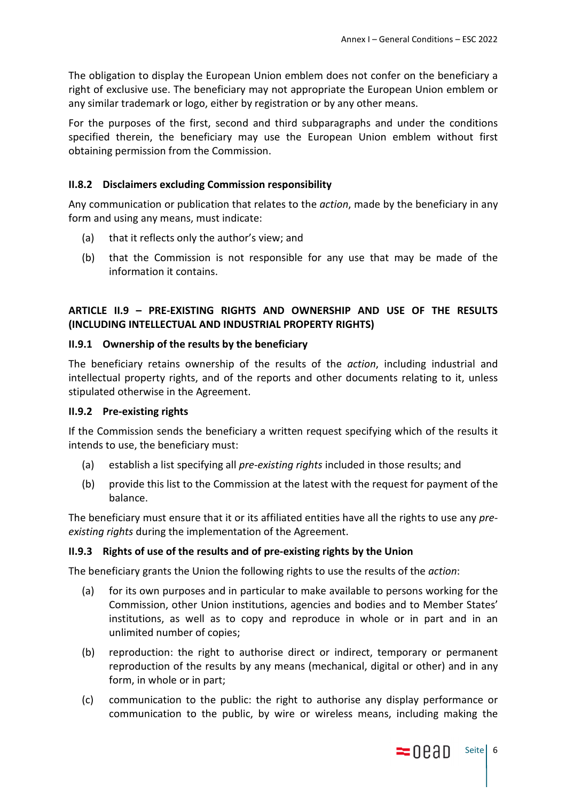The obligation to display the European Union emblem does not confer on the beneficiary a right of exclusive use. The beneficiary may not appropriate the European Union emblem or any similar trademark or logo, either by registration or by any other means.

For the purposes of the first, second and third subparagraphs and under the conditions specified therein, the beneficiary may use the European Union emblem without first obtaining permission from the Commission.

# **II.8.2 Disclaimers excluding Commission responsibility**

Any communication or publication that relates to the *action*, made by the beneficiary in any form and using any means, must indicate:

- (a) that it reflects only the author's view; and
- (b) that the Commission is not responsible for any use that may be made of the information it contains.

# **ARTICLE II.9 – PRE-EXISTING RIGHTS AND OWNERSHIP AND USE OF THE RESULTS (INCLUDING INTELLECTUAL AND INDUSTRIAL PROPERTY RIGHTS)**

### **II.9.1 Ownership of the results by the beneficiary**

The beneficiary retains ownership of the results of the *action*, including industrial and intellectual property rights, and of the reports and other documents relating to it, unless stipulated otherwise in the Agreement.

### **II.9.2 Pre-existing rights**

If the Commission sends the beneficiary a written request specifying which of the results it intends to use, the beneficiary must:

- (a) establish a list specifying all *pre-existing rights* included in those results; and
- (b) provide this list to the Commission at the latest with the request for payment of the balance.

The beneficiary must ensure that it or its affiliated entities have all the rights to use any *preexisting rights* during the implementation of the Agreement.

# **II.9.3 Rights of use of the results and of pre-existing rights by the Union**

The beneficiary grants the Union the following rights to use the results of the *action*:

- (a) for its own purposes and in particular to make available to persons working for the Commission, other Union institutions, agencies and bodies and to Member States' institutions, as well as to copy and reproduce in whole or in part and in an unlimited number of copies;
- (b) reproduction: the right to authorise direct or indirect, temporary or permanent reproduction of the results by any means (mechanical, digital or other) and in any form, in whole or in part;
- (c) communication to the public: the right to authorise any display performance or communication to the public, by wire or wireless means, including making the

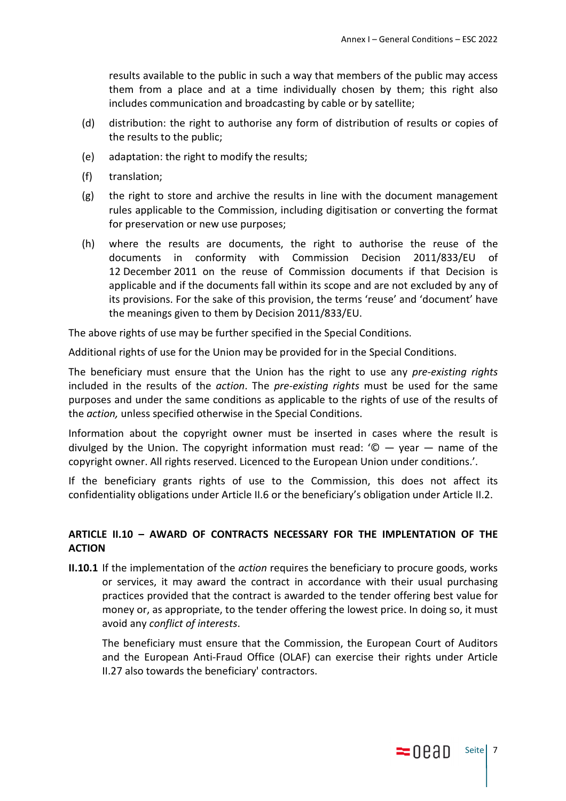results available to the public in such a way that members of the public may access them from a place and at a time individually chosen by them; this right also includes communication and broadcasting by cable or by satellite;

- (d) distribution: the right to authorise any form of distribution of results or copies of the results to the public;
- (e) adaptation: the right to modify the results;
- (f) translation;
- (g) the right to store and archive the results in line with the document management rules applicable to the Commission, including digitisation or converting the format for preservation or new use purposes;
- (h) where the results are documents, the right to authorise the reuse of the documents in conformity with Commission Decision 2011/833/EU of 12 December 2011 on the reuse of Commission documents if that Decision is applicable and if the documents fall within its scope and are not excluded by any of its provisions. For the sake of this provision, the terms 'reuse' and 'document' have the meanings given to them by Decision 2011/833/EU.

The above rights of use may be further specified in the Special Conditions.

Additional rights of use for the Union may be provided for in the Special Conditions.

The beneficiary must ensure that the Union has the right to use any *pre-existing rights* included in the results of the *action*. The *pre-existing rights* must be used for the same purposes and under the same conditions as applicable to the rights of use of the results of the *action,* unless specified otherwise in the Special Conditions.

Information about the copyright owner must be inserted in cases where the result is divulged by the Union. The copyright information must read: '© — year — name of the copyright owner. All rights reserved. Licenced to the European Union under conditions.'.

If the beneficiary grants rights of use to the Commission, this does not affect its confidentiality obligations under Article II.6 or the beneficiary's obligation under Article II.2.

# **ARTICLE II.10 – AWARD OF CONTRACTS NECESSARY FOR THE IMPLENTATION OF THE ACTION**

**II.10.1** If the implementation of the *action* requires the beneficiary to procure goods, works or services, it may award the contract in accordance with their usual purchasing practices provided that the contract is awarded to the tender offering best value for money or, as appropriate, to the tender offering the lowest price. In doing so, it must avoid any *conflict of interests*.

 The beneficiary must ensure that the Commission, the European Court of Auditors and the European Anti-Fraud Office (OLAF) can exercise their rights under Article II.27 also towards the beneficiary' contractors.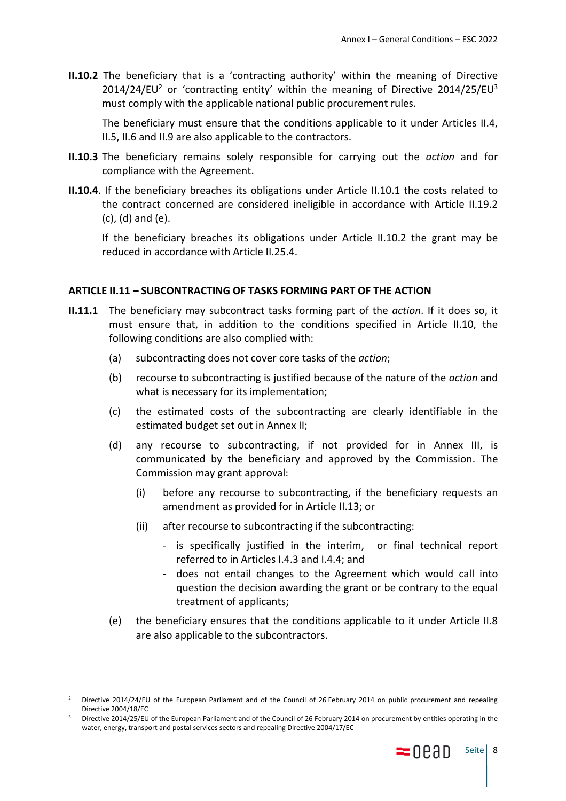**II.10.2** The beneficiary that is a 'contracting authority' within the meaning of Directive  $2014/24/EU<sup>2</sup>$  or 'contracting entity' within the meaning of Directive 2014/25/EU<sup>3</sup> must comply with the applicable national public procurement rules.

The beneficiary must ensure that the conditions applicable to it under Articles II.4, II.5, II.6 and II.9 are also applicable to the contractors.

- **II.10.3** The beneficiary remains solely responsible for carrying out the *action* and for compliance with the Agreement.
- **II.10.4**. If the beneficiary breaches its obligations under Article II.10.1 the costs related to the contract concerned are considered ineligible in accordance with Article II.19.2 (c), (d) and (e).

If the beneficiary breaches its obligations under Article II.10.2 the grant may be reduced in accordance with Article II.25.4.

#### **ARTICLE II.11 – SUBCONTRACTING OF TASKS FORMING PART OF THE ACTION**

- **II.11.1** The beneficiary may subcontract tasks forming part of the *action*. If it does so, it must ensure that, in addition to the conditions specified in Article II.10, the following conditions are also complied with:
	- (a) subcontracting does not cover core tasks of the *action*;
	- (b) recourse to subcontracting is justified because of the nature of the *action* and what is necessary for its implementation;
	- (c) the estimated costs of the subcontracting are clearly identifiable in the estimated budget set out in Annex II;
	- (d) any recourse to subcontracting, if not provided for in Annex III, is communicated by the beneficiary and approved by the Commission. The Commission may grant approval:
		- (i) before any recourse to subcontracting, if the beneficiary requests an amendment as provided for in Article II.13; or
		- (ii) after recourse to subcontracting if the subcontracting:
			- is specifically justified in the interim, or final technical report referred to in Articles I.4.3 and I.4.4; and
			- does not entail changes to the Agreement which would call into question the decision awarding the grant or be contrary to the equal treatment of applicants;
	- (e) the beneficiary ensures that the conditions applicable to it under Article II.8 are also applicable to the subcontractors.

<sup>2</sup> Directive 2014/24/EU of the European Parliament and of the Council of 26 February 2014 on public procurement and repealing Directive 2004/18/EC

<sup>3</sup> Directive 2014/25/EU of the European Parliament and of the Council of 26 February 2014 on procurement by entities operating in the water, energy, transport and postal services sectors and repealing Directive 2004/17/EC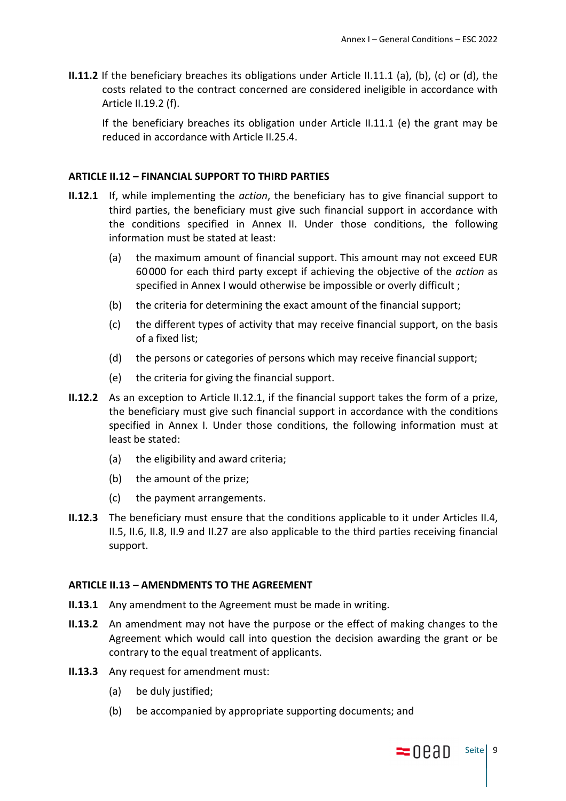**II.11.2** If the beneficiary breaches its obligations under Article II.11.1 (a), (b), (c) or (d), the costs related to the contract concerned are considered ineligible in accordance with Article II.19.2 (f).

If the beneficiary breaches its obligation under Article II.11.1 (e) the grant may be reduced in accordance with Article II.25.4.

### **ARTICLE II.12 – FINANCIAL SUPPORT TO THIRD PARTIES**

- **II.12.1** If, while implementing the *action*, the beneficiary has to give financial support to third parties, the beneficiary must give such financial support in accordance with the conditions specified in Annex II. Under those conditions, the following information must be stated at least:
	- (a) the maximum amount of financial support. This amount may not exceed EUR 60000 for each third party except if achieving the objective of the *action* as specified in Annex I would otherwise be impossible or overly difficult ;
	- (b) the criteria for determining the exact amount of the financial support;
	- (c) the different types of activity that may receive financial support, on the basis of a fixed list;
	- (d) the persons or categories of persons which may receive financial support;
	- (e) the criteria for giving the financial support.
- **II.12.2** As an exception to Article II.12.1, if the financial support takes the form of a prize, the beneficiary must give such financial support in accordance with the conditions specified in Annex I. Under those conditions, the following information must at least be stated:
	- (a) the eligibility and award criteria;
	- (b) the amount of the prize;
	- (c) the payment arrangements.
- **II.12.3** The beneficiary must ensure that the conditions applicable to it under Articles II.4, II.5, II.6, II.8, II.9 and II.27 are also applicable to the third parties receiving financial support.

#### **ARTICLE II.13 – AMENDMENTS TO THE AGREEMENT**

- **II.13.1** Any amendment to the Agreement must be made in writing.
- **II.13.2** An amendment may not have the purpose or the effect of making changes to the Agreement which would call into question the decision awarding the grant or be contrary to the equal treatment of applicants.
- **II.13.3** Any request for amendment must:
	- (a) be duly justified;
	- (b) be accompanied by appropriate supporting documents; and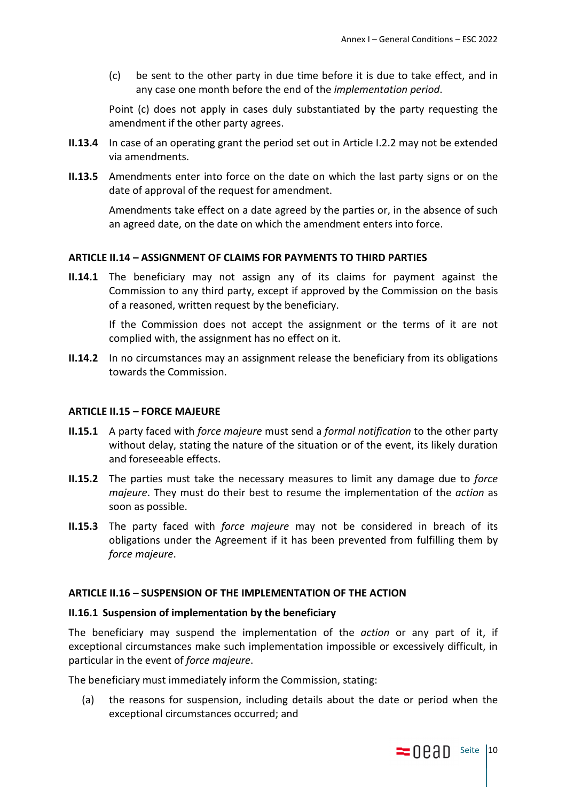(c) be sent to the other party in due time before it is due to take effect, and in any case one month before the end of the *implementation period*.

Point (c) does not apply in cases duly substantiated by the party requesting the amendment if the other party agrees.

- **II.13.4** In case of an operating grant the period set out in Article I.2.2 may not be extended via amendments.
- **II.13.5** Amendments enter into force on the date on which the last party signs or on the date of approval of the request for amendment.

Amendments take effect on a date agreed by the parties or, in the absence of such an agreed date, on the date on which the amendment enters into force.

#### **ARTICLE II.14 – ASSIGNMENT OF CLAIMS FOR PAYMENTS TO THIRD PARTIES**

**II.14.1** The beneficiary may not assign any of its claims for payment against the Commission to any third party, except if approved by the Commission on the basis of a reasoned, written request by the beneficiary.

If the Commission does not accept the assignment or the terms of it are not complied with, the assignment has no effect on it.

**II.14.2** In no circumstances may an assignment release the beneficiary from its obligations towards the Commission.

#### **ARTICLE II.15 – FORCE MAJEURE**

- **II.15.1** A party faced with *force majeure* must send a *formal notification* to the other party without delay, stating the nature of the situation or of the event, its likely duration and foreseeable effects.
- **II.15.2** The parties must take the necessary measures to limit any damage due to *force majeure*. They must do their best to resume the implementation of the *action* as soon as possible.
- **II.15.3** The party faced with *force majeure* may not be considered in breach of its obligations under the Agreement if it has been prevented from fulfilling them by *force majeure*.

#### **ARTICLE II.16 – SUSPENSION OF THE IMPLEMENTATION OF THE ACTION**

#### **II.16.1 Suspension of implementation by the beneficiary**

The beneficiary may suspend the implementation of the *action* or any part of it, if exceptional circumstances make such implementation impossible or excessively difficult, in particular in the event of *force majeure*.

The beneficiary must immediately inform the Commission, stating:

(a) the reasons for suspension, including details about the date or period when the exceptional circumstances occurred; and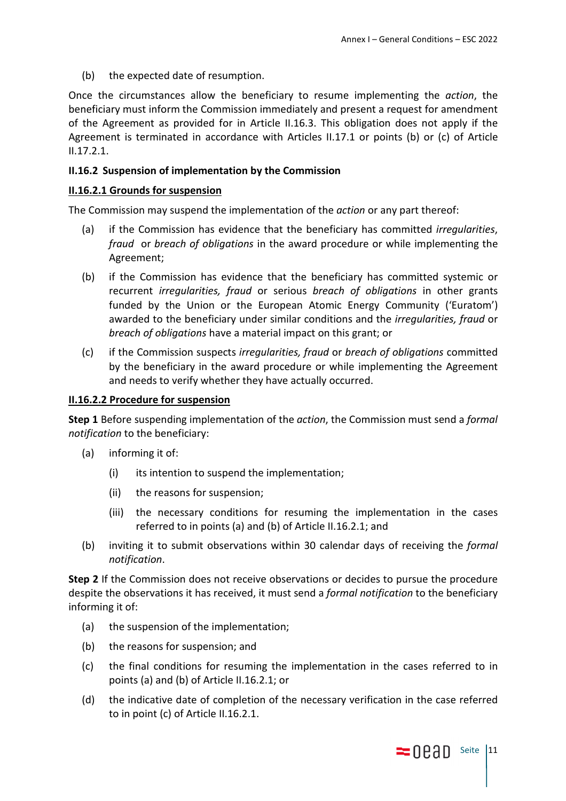(b) the expected date of resumption.

Once the circumstances allow the beneficiary to resume implementing the *action*, the beneficiary must inform the Commission immediately and present a request for amendment of the Agreement as provided for in Article II.16.3. This obligation does not apply if the Agreement is terminated in accordance with Articles II.17.1 or points (b) or (c) of Article II.17.2.1.

### **II.16.2 Suspension of implementation by the Commission**

### **II.16.2.1 Grounds for suspension**

The Commission may suspend the implementation of the *action* or any part thereof:

- (a) if the Commission has evidence that the beneficiary has committed *irregularities*, *fraud* or *breach of obligations* in the award procedure or while implementing the Agreement;
- (b) if the Commission has evidence that the beneficiary has committed systemic or recurrent *irregularities, fraud* or serious *breach of obligations* in other grants funded by the Union or the European Atomic Energy Community ('Euratom') awarded to the beneficiary under similar conditions and the *irregularities, fraud* or *breach of obligations* have a material impact on this grant; or
- (c) if the Commission suspects *irregularities, fraud* or *breach of obligations* committed by the beneficiary in the award procedure or while implementing the Agreement and needs to verify whether they have actually occurred.

#### **II.16.2.2 Procedure for suspension**

**Step 1** Before suspending implementation of the *action*, the Commission must send a *formal notification* to the beneficiary:

- (a) informing it of:
	- (i) its intention to suspend the implementation;
	- (ii) the reasons for suspension;
	- (iii) the necessary conditions for resuming the implementation in the cases referred to in points (a) and (b) of Article II.16.2.1; and
- (b) inviting it to submit observations within 30 calendar days of receiving the *formal notification*.

**Step 2** If the Commission does not receive observations or decides to pursue the procedure despite the observations it has received, it must send a *formal notification* to the beneficiary informing it of:

- (a) the suspension of the implementation;
- (b) the reasons for suspension; and
- (c) the final conditions for resuming the implementation in the cases referred to in points (a) and (b) of Article II.16.2.1; or
- (d) the indicative date of completion of the necessary verification in the case referred to in point (c) of Article II.16.2.1.

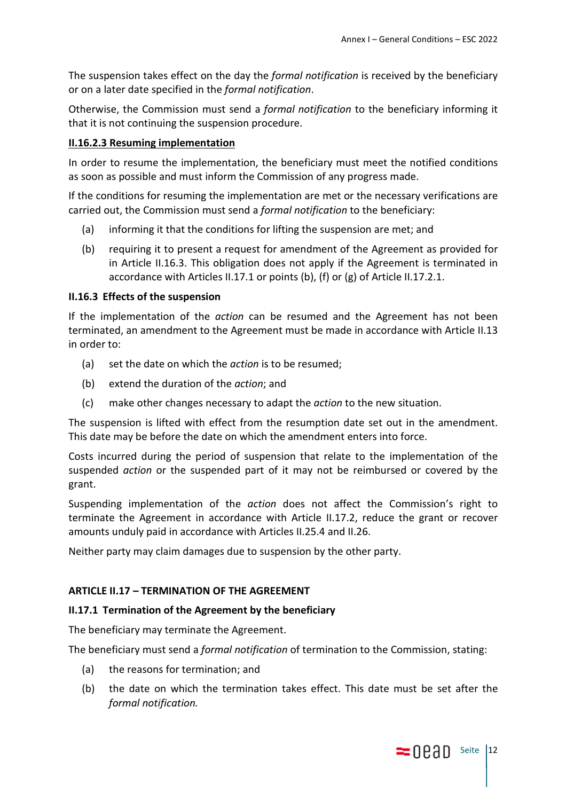The suspension takes effect on the day the *formal notification* is received by the beneficiary or on a later date specified in the *formal notification*.

Otherwise, the Commission must send a *formal notification* to the beneficiary informing it that it is not continuing the suspension procedure.

# **II.16.2.3 Resuming implementation**

In order to resume the implementation, the beneficiary must meet the notified conditions as soon as possible and must inform the Commission of any progress made.

If the conditions for resuming the implementation are met or the necessary verifications are carried out, the Commission must send a *formal notification* to the beneficiary:

- (a) informing it that the conditions for lifting the suspension are met; and
- (b) requiring it to present a request for amendment of the Agreement as provided for in Article II.16.3. This obligation does not apply if the Agreement is terminated in accordance with Articles II.17.1 or points (b), (f) or (g) of Article II.17.2.1.

### **II.16.3 Effects of the suspension**

If the implementation of the *action* can be resumed and the Agreement has not been terminated, an amendment to the Agreement must be made in accordance with Article II.13 in order to:

- (a) set the date on which the *action* is to be resumed;
- (b) extend the duration of the *action*; and
- (c) make other changes necessary to adapt the *action* to the new situation.

The suspension is lifted with effect from the resumption date set out in the amendment. This date may be before the date on which the amendment enters into force.

Costs incurred during the period of suspension that relate to the implementation of the suspended *action* or the suspended part of it may not be reimbursed or covered by the grant.

Suspending implementation of the *action* does not affect the Commission's right to terminate the Agreement in accordance with Article II.17.2, reduce the grant or recover amounts unduly paid in accordance with Articles II.25.4 and II.26.

Neither party may claim damages due to suspension by the other party.

# **ARTICLE II.17 – TERMINATION OF THE AGREEMENT**

### **II.17.1 Termination of the Agreement by the beneficiary**

The beneficiary may terminate the Agreement.

The beneficiary must send a *formal notification* of termination to the Commission, stating:

- (a) the reasons for termination; and
- (b) the date on which the termination takes effect. This date must be set after the *formal notification.*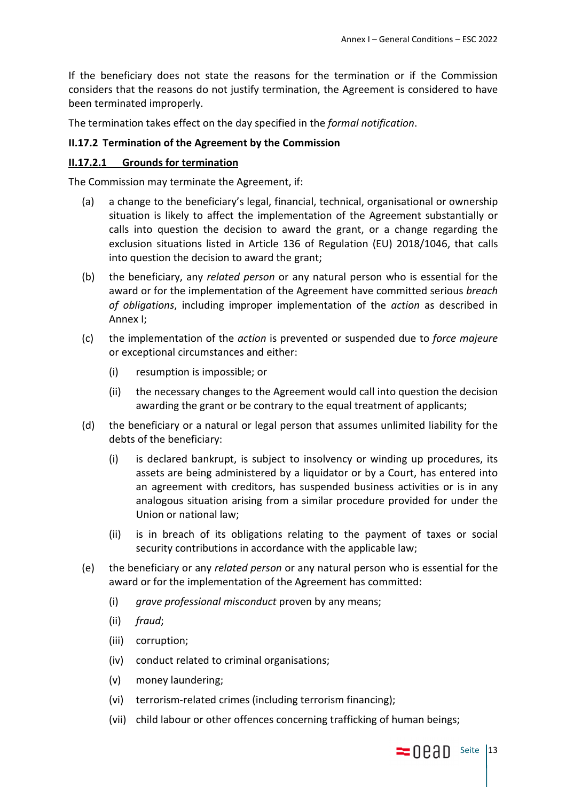If the beneficiary does not state the reasons for the termination or if the Commission considers that the reasons do not justify termination, the Agreement is considered to have been terminated improperly.

The termination takes effect on the day specified in the *formal notification*.

# **II.17.2 Termination of the Agreement by the Commission**

### **II.17.2.1 Grounds for termination**

The Commission may terminate the Agreement, if:

- (a) a change to the beneficiary's legal, financial, technical, organisational or ownership situation is likely to affect the implementation of the Agreement substantially or calls into question the decision to award the grant, or a change regarding the exclusion situations listed in Article 136 of Regulation (EU) 2018/1046, that calls into question the decision to award the grant;
- (b) the beneficiary, any *related person* or any natural person who is essential for the award or for the implementation of the Agreement have committed serious *breach of obligations*, including improper implementation of the *action* as described in Annex I;
- (c) the implementation of the *action* is prevented or suspended due to *force majeure* or exceptional circumstances and either:
	- (i) resumption is impossible; or
	- (ii) the necessary changes to the Agreement would call into question the decision awarding the grant or be contrary to the equal treatment of applicants;
- (d) the beneficiary or a natural or legal person that assumes unlimited liability for the debts of the beneficiary:
	- (i) is declared bankrupt, is subject to insolvency or winding up procedures, its assets are being administered by a liquidator or by a Court, has entered into an agreement with creditors, has suspended business activities or is in any analogous situation arising from a similar procedure provided for under the Union or national law;
	- (ii) is in breach of its obligations relating to the payment of taxes or social security contributions in accordance with the applicable law;
- (e) the beneficiary or any *related person* or any natural person who is essential for the award or for the implementation of the Agreement has committed:
	- (i) *grave professional misconduct* proven by any means;
	- (ii) *fraud*;
	- (iii) corruption;
	- (iv) conduct related to criminal organisations;
	- (v) money laundering;
	- (vi) terrorism-related crimes (including terrorism financing);
	- (vii) child labour or other offences concerning trafficking of human beings;

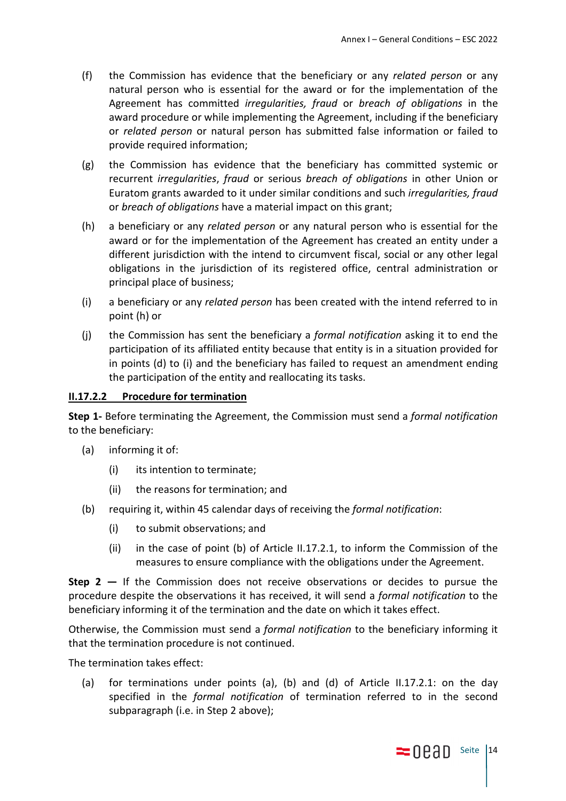- (f) the Commission has evidence that the beneficiary or any *related person* or any natural person who is essential for the award or for the implementation of the Agreement has committed *irregularities, fraud* or *breach of obligations* in the award procedure or while implementing the Agreement, including if the beneficiary or *related person* or natural person has submitted false information or failed to provide required information;
- (g) the Commission has evidence that the beneficiary has committed systemic or recurrent *irregularities*, *fraud* or serious *breach of obligations* in other Union or Euratom grants awarded to it under similar conditions and such *irregularities, fraud* or *breach of obligations* have a material impact on this grant;
- (h) a beneficiary or any *related person* or any natural person who is essential for the award or for the implementation of the Agreement has created an entity under a different jurisdiction with the intend to circumvent fiscal, social or any other legal obligations in the jurisdiction of its registered office, central administration or principal place of business;
- (i) a beneficiary or any *related person* has been created with the intend referred to in point (h) or
- (j) the Commission has sent the beneficiary a *formal notification* asking it to end the participation of its affiliated entity because that entity is in a situation provided for in points (d) to (i) and the beneficiary has failed to request an amendment ending the participation of the entity and reallocating its tasks.

#### **II.17.2.2 Procedure for termination**

**Step 1-** Before terminating the Agreement, the Commission must send a *formal notification* to the beneficiary:

- (a) informing it of:
	- (i) its intention to terminate;
	- (ii) the reasons for termination; and
- (b) requiring it, within 45 calendar days of receiving the *formal notification*:
	- (i) to submit observations; and
	- (ii) in the case of point (b) of Article II.17.2.1, to inform the Commission of the measures to ensure compliance with the obligations under the Agreement.

**Step 2 —** If the Commission does not receive observations or decides to pursue the procedure despite the observations it has received, it will send a *formal notification* to the beneficiary informing it of the termination and the date on which it takes effect.

Otherwise, the Commission must send a *formal notification* to the beneficiary informing it that the termination procedure is not continued.

The termination takes effect:

(a) for terminations under points (a), (b) and (d) of Article II.17.2.1: on the day specified in the *formal notification* of termination referred to in the second subparagraph (i.e. in Step 2 above);

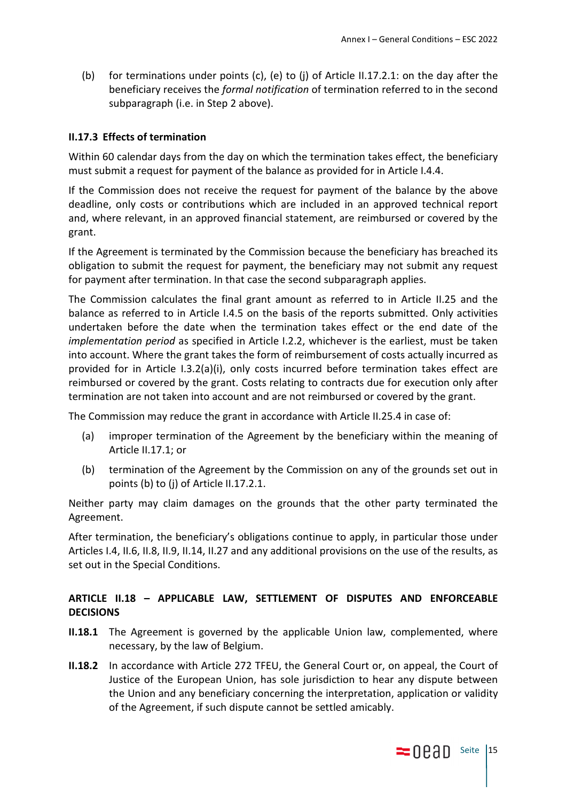(b) for terminations under points (c), (e) to (j) of Article II.17.2.1: on the day after the beneficiary receives the *formal notification* of termination referred to in the second subparagraph (i.e. in Step 2 above).

# **II.17.3 Effects of termination**

Within 60 calendar days from the day on which the termination takes effect, the beneficiary must submit a request for payment of the balance as provided for in Article I.4.4.

If the Commission does not receive the request for payment of the balance by the above deadline, only costs or contributions which are included in an approved technical report and, where relevant, in an approved financial statement, are reimbursed or covered by the grant.

If the Agreement is terminated by the Commission because the beneficiary has breached its obligation to submit the request for payment, the beneficiary may not submit any request for payment after termination. In that case the second subparagraph applies.

The Commission calculates the final grant amount as referred to in Article II.25 and the balance as referred to in Article I.4.5 on the basis of the reports submitted. Only activities undertaken before the date when the termination takes effect or the end date of the *implementation period* as specified in Article I.2.2, whichever is the earliest, must be taken into account. Where the grant takes the form of reimbursement of costs actually incurred as provided for in Article I.3.2(a)(i), only costs incurred before termination takes effect are reimbursed or covered by the grant. Costs relating to contracts due for execution only after termination are not taken into account and are not reimbursed or covered by the grant.

The Commission may reduce the grant in accordance with Article II.25.4 in case of:

- (a) improper termination of the Agreement by the beneficiary within the meaning of Article II.17.1; or
- (b) termination of the Agreement by the Commission on any of the grounds set out in points (b) to (j) of Article II.17.2.1.

Neither party may claim damages on the grounds that the other party terminated the Agreement.

After termination, the beneficiary's obligations continue to apply, in particular those under Articles I.4, II.6, II.8, II.9, II.14, II.27 and any additional provisions on the use of the results, as set out in the Special Conditions.

# **ARTICLE II.18 – APPLICABLE LAW, SETTLEMENT OF DISPUTES AND ENFORCEABLE DECISIONS**

- **II.18.1** The Agreement is governed by the applicable Union law, complemented, where necessary, by the law of Belgium.
- **II.18.2** In accordance with Article 272 TFEU, the General Court or, on appeal, the Court of Justice of the European Union, has sole jurisdiction to hear any dispute between the Union and any beneficiary concerning the interpretation, application or validity of the Agreement, if such dispute cannot be settled amicably.

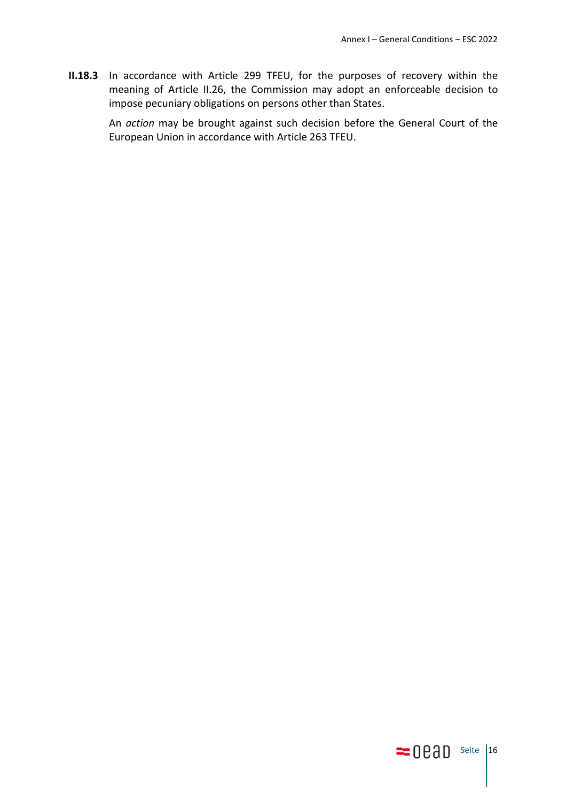**II.18.3** In accordance with Article 299 TFEU, for the purposes of recovery within the meaning of Article II.26, the Commission may adopt an enforceable decision to impose pecuniary obligations on persons other than States.

An *action* may be brought against such decision before the General Court of the European Union in accordance with Article 263 TFEU.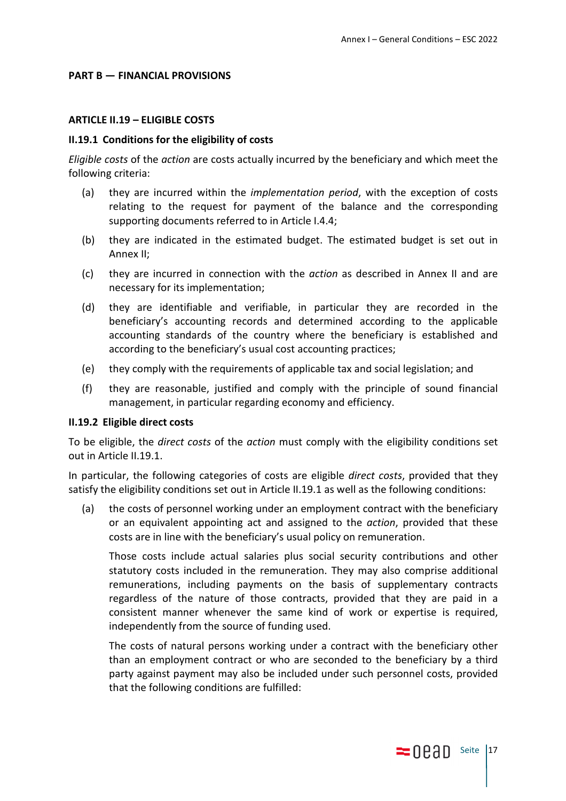#### **PART B — FINANCIAL PROVISIONS**

#### **ARTICLE II.19 – ELIGIBLE COSTS**

#### **II.19.1 Conditions for the eligibility of costs**

*Eligible costs* of the *action* are costs actually incurred by the beneficiary and which meet the following criteria:

- (a) they are incurred within the *implementation period*, with the exception of costs relating to the request for payment of the balance and the corresponding supporting documents referred to in Article I.4.4;
- (b) they are indicated in the estimated budget. The estimated budget is set out in Annex II;
- (c) they are incurred in connection with the *action* as described in Annex II and are necessary for its implementation;
- (d) they are identifiable and verifiable, in particular they are recorded in the beneficiary's accounting records and determined according to the applicable accounting standards of the country where the beneficiary is established and according to the beneficiary's usual cost accounting practices;
- (e) they comply with the requirements of applicable tax and social legislation; and
- (f) they are reasonable, justified and comply with the principle of sound financial management, in particular regarding economy and efficiency.

#### **II.19.2 Eligible direct costs**

To be eligible, the *direct costs* of the *action* must comply with the eligibility conditions set out in Article II.19.1.

In particular, the following categories of costs are eligible *direct costs*, provided that they satisfy the eligibility conditions set out in Article II.19.1 as well as the following conditions:

(a) the costs of personnel working under an employment contract with the beneficiary or an equivalent appointing act and assigned to the *action*, provided that these costs are in line with the beneficiary's usual policy on remuneration.

Those costs include actual salaries plus social security contributions and other statutory costs included in the remuneration. They may also comprise additional remunerations, including payments on the basis of supplementary contracts regardless of the nature of those contracts, provided that they are paid in a consistent manner whenever the same kind of work or expertise is required, independently from the source of funding used.

The costs of natural persons working under a contract with the beneficiary other than an employment contract or who are seconded to the beneficiary by a third party against payment may also be included under such personnel costs, provided that the following conditions are fulfilled: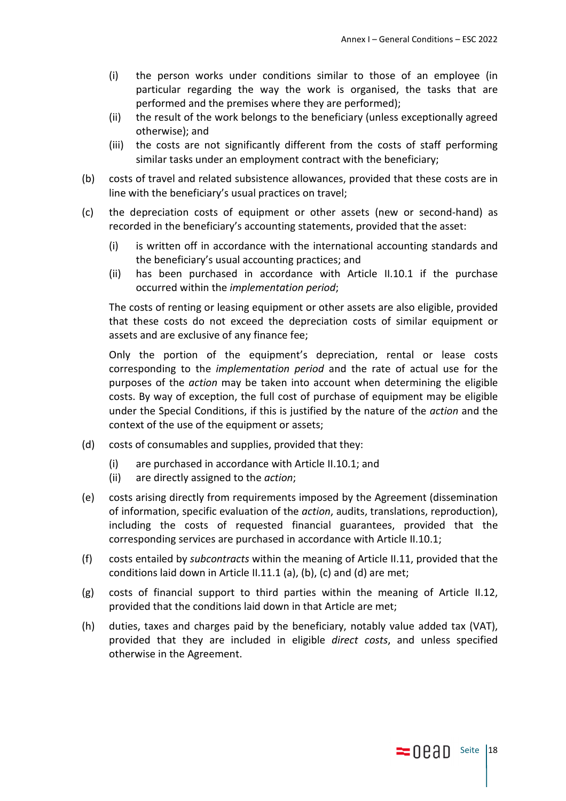- (i) the person works under conditions similar to those of an employee (in particular regarding the way the work is organised, the tasks that are performed and the premises where they are performed);
- (ii) the result of the work belongs to the beneficiary (unless exceptionally agreed otherwise); and
- (iii) the costs are not significantly different from the costs of staff performing similar tasks under an employment contract with the beneficiary;
- (b) costs of travel and related subsistence allowances, provided that these costs are in line with the beneficiary's usual practices on travel;
- (c) the depreciation costs of equipment or other assets (new or second-hand) as recorded in the beneficiary's accounting statements, provided that the asset:
	- (i) is written off in accordance with the international accounting standards and the beneficiary's usual accounting practices; and
	- (ii) has been purchased in accordance with Article II.10.1 if the purchase occurred within the *implementation period*;

The costs of renting or leasing equipment or other assets are also eligible, provided that these costs do not exceed the depreciation costs of similar equipment or assets and are exclusive of any finance fee;

Only the portion of the equipment's depreciation, rental or lease costs corresponding to the *implementation period* and the rate of actual use for the purposes of the *action* may be taken into account when determining the eligible costs. By way of exception, the full cost of purchase of equipment may be eligible under the Special Conditions, if this is justified by the nature of the *action* and the context of the use of the equipment or assets;

- (d) costs of consumables and supplies, provided that they:
	- (i) are purchased in accordance with Article II.10.1; and
	- (ii) are directly assigned to the *action*;
- (e) costs arising directly from requirements imposed by the Agreement (dissemination of information, specific evaluation of the *action*, audits, translations, reproduction), including the costs of requested financial guarantees, provided that the corresponding services are purchased in accordance with Article II.10.1;
- (f) costs entailed by *subcontracts* within the meaning of Article II.11, provided that the conditions laid down in Article II.11.1 (a), (b), (c) and (d) are met;
- (g) costs of financial support to third parties within the meaning of Article II.12, provided that the conditions laid down in that Article are met;
- (h) duties, taxes and charges paid by the beneficiary, notably value added tax (VAT), provided that they are included in eligible *direct costs*, and unless specified otherwise in the Agreement.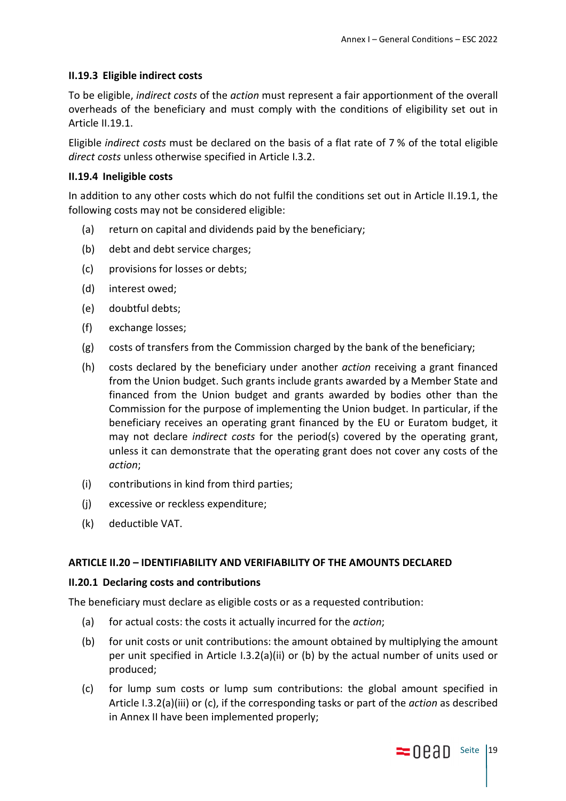## **II.19.3 Eligible indirect costs**

To be eligible, *indirect costs* of the *action* must represent a fair apportionment of the overall overheads of the beneficiary and must comply with the conditions of eligibility set out in Article II.19.1.

Eligible *indirect costs* must be declared on the basis of a flat rate of 7 % of the total eligible *direct costs* unless otherwise specified in Article I.3.2.

### **II.19.4 Ineligible costs**

In addition to any other costs which do not fulfil the conditions set out in Article II.19.1, the following costs may not be considered eligible:

- (a) return on capital and dividends paid by the beneficiary;
- (b) debt and debt service charges;
- (c) provisions for losses or debts;
- (d) interest owed;
- (e) doubtful debts;
- (f) exchange losses;
- (g) costs of transfers from the Commission charged by the bank of the beneficiary;
- (h) costs declared by the beneficiary under another *action* receiving a grant financed from the Union budget. Such grants include grants awarded by a Member State and financed from the Union budget and grants awarded by bodies other than the Commission for the purpose of implementing the Union budget. In particular, if the beneficiary receives an operating grant financed by the EU or Euratom budget, it may not declare *indirect costs* for the period(s) covered by the operating grant, unless it can demonstrate that the operating grant does not cover any costs of the *action*;
- (i) contributions in kind from third parties;
- (j) excessive or reckless expenditure;
- (k) deductible VAT.

### **ARTICLE II.20 – IDENTIFIABILITY AND VERIFIABILITY OF THE AMOUNTS DECLARED**

### **II.20.1 Declaring costs and contributions**

The beneficiary must declare as eligible costs or as a requested contribution:

- (a) for actual costs: the costs it actually incurred for the *action*;
- (b) for unit costs or unit contributions: the amount obtained by multiplying the amount per unit specified in Article I.3.2(a)(ii) or (b) by the actual number of units used or produced;
- (c) for lump sum costs or lump sum contributions: the global amount specified in Article I.3.2(a)(iii) or (c), if the corresponding tasks or part of the *action* as described in Annex II have been implemented properly;

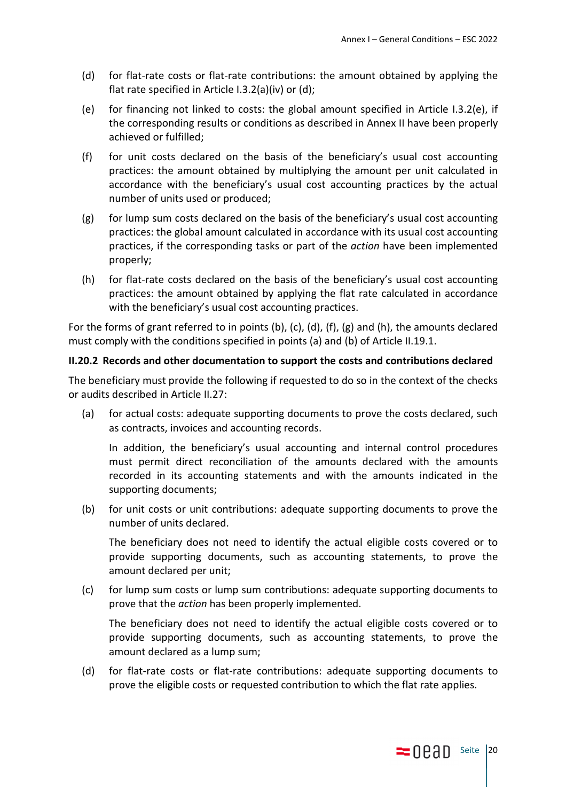- (d) for flat-rate costs or flat-rate contributions: the amount obtained by applying the flat rate specified in Article I.3.2(a)(iv) or (d);
- (e) for financing not linked to costs: the global amount specified in Article I.3.2(e), if the corresponding results or conditions as described in Annex II have been properly achieved or fulfilled;
- (f) for unit costs declared on the basis of the beneficiary's usual cost accounting practices: the amount obtained by multiplying the amount per unit calculated in accordance with the beneficiary's usual cost accounting practices by the actual number of units used or produced;
- $(g)$  for lump sum costs declared on the basis of the beneficiary's usual cost accounting practices: the global amount calculated in accordance with its usual cost accounting practices, if the corresponding tasks or part of the *action* have been implemented properly;
- (h) for flat-rate costs declared on the basis of the beneficiary's usual cost accounting practices: the amount obtained by applying the flat rate calculated in accordance with the beneficiary's usual cost accounting practices.

For the forms of grant referred to in points (b), (c), (d), (f), (g) and (h), the amounts declared must comply with the conditions specified in points (a) and (b) of Article II.19.1.

# **II.20.2 Records and other documentation to support the costs and contributions declared**

The beneficiary must provide the following if requested to do so in the context of the checks or audits described in Article II.27:

(a) for actual costs: adequate supporting documents to prove the costs declared, such as contracts, invoices and accounting records.

In addition, the beneficiary's usual accounting and internal control procedures must permit direct reconciliation of the amounts declared with the amounts recorded in its accounting statements and with the amounts indicated in the supporting documents;

(b) for unit costs or unit contributions: adequate supporting documents to prove the number of units declared.

The beneficiary does not need to identify the actual eligible costs covered or to provide supporting documents, such as accounting statements, to prove the amount declared per unit;

(c) for lump sum costs or lump sum contributions: adequate supporting documents to prove that the *action* has been properly implemented.

The beneficiary does not need to identify the actual eligible costs covered or to provide supporting documents, such as accounting statements, to prove the amount declared as a lump sum;

(d) for flat-rate costs or flat-rate contributions: adequate supporting documents to prove the eligible costs or requested contribution to which the flat rate applies.

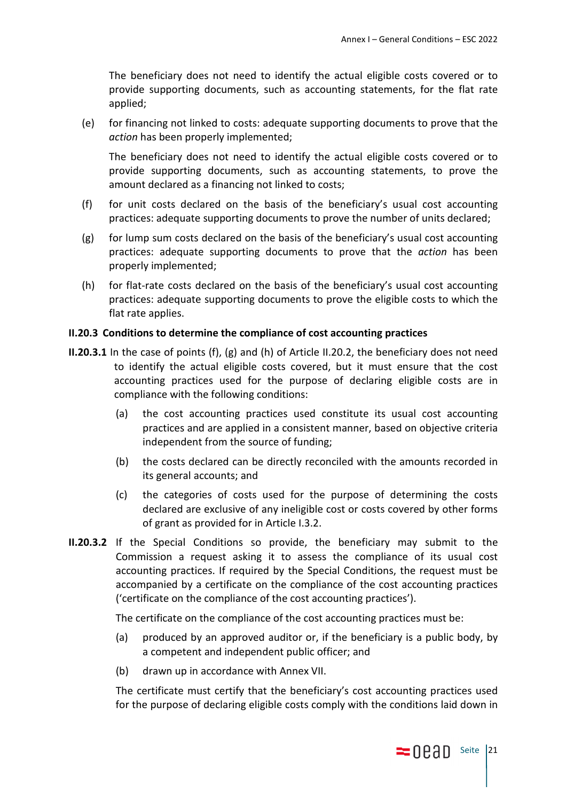The beneficiary does not need to identify the actual eligible costs covered or to provide supporting documents, such as accounting statements, for the flat rate applied;

(e) for financing not linked to costs: adequate supporting documents to prove that the *action* has been properly implemented;

The beneficiary does not need to identify the actual eligible costs covered or to provide supporting documents, such as accounting statements, to prove the amount declared as a financing not linked to costs;

- (f) for unit costs declared on the basis of the beneficiary's usual cost accounting practices: adequate supporting documents to prove the number of units declared;
- (g) for lump sum costs declared on the basis of the beneficiary's usual cost accounting practices: adequate supporting documents to prove that the *action* has been properly implemented;
- (h) for flat-rate costs declared on the basis of the beneficiary's usual cost accounting practices: adequate supporting documents to prove the eligible costs to which the flat rate applies.

#### **II.20.3 Conditions to determine the compliance of cost accounting practices**

- **II.20.3.1** In the case of points (f), (g) and (h) of Article II.20.2, the beneficiary does not need to identify the actual eligible costs covered, but it must ensure that the cost accounting practices used for the purpose of declaring eligible costs are in compliance with the following conditions:
	- (a) the cost accounting practices used constitute its usual cost accounting practices and are applied in a consistent manner, based on objective criteria independent from the source of funding;
	- (b) the costs declared can be directly reconciled with the amounts recorded in its general accounts; and
	- (c) the categories of costs used for the purpose of determining the costs declared are exclusive of any ineligible cost or costs covered by other forms of grant as provided for in Article I.3.2.
- **II.20.3.2** If the Special Conditions so provide, the beneficiary may submit to the Commission a request asking it to assess the compliance of its usual cost accounting practices. If required by the Special Conditions, the request must be accompanied by a certificate on the compliance of the cost accounting practices ('certificate on the compliance of the cost accounting practices').

The certificate on the compliance of the cost accounting practices must be:

- (a) produced by an approved auditor or, if the beneficiary is a public body, by a competent and independent public officer; and
- (b) drawn up in accordance with Annex VII.

The certificate must certify that the beneficiary's cost accounting practices used for the purpose of declaring eligible costs comply with the conditions laid down in

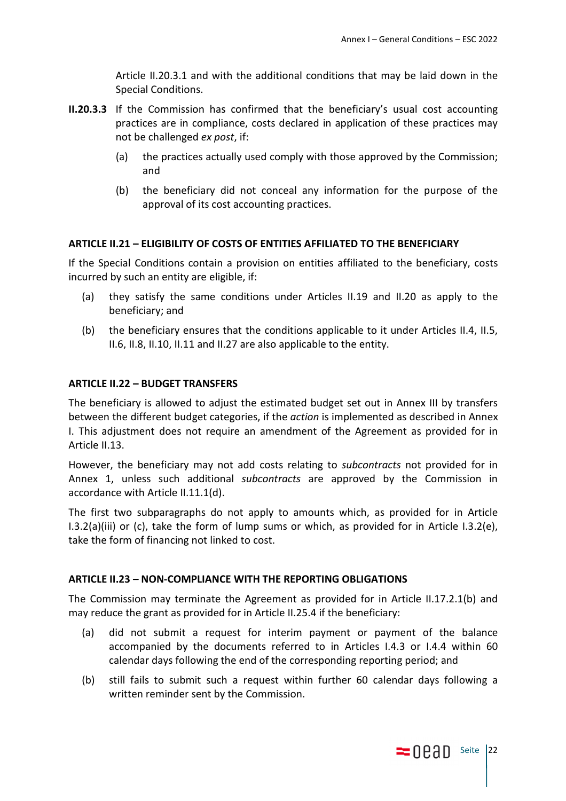Article II.20.3.1 and with the additional conditions that may be laid down in the Special Conditions.

- **II.20.3.3** If the Commission has confirmed that the beneficiary's usual cost accounting practices are in compliance, costs declared in application of these practices may not be challenged *ex post*, if:
	- (a) the practices actually used comply with those approved by the Commission; and
	- (b) the beneficiary did not conceal any information for the purpose of the approval of its cost accounting practices.

# **ARTICLE II.21 – ELIGIBILITY OF COSTS OF ENTITIES AFFILIATED TO THE BENEFICIARY**

If the Special Conditions contain a provision on entities affiliated to the beneficiary, costs incurred by such an entity are eligible, if:

- (a) they satisfy the same conditions under Articles II.19 and II.20 as apply to the beneficiary; and
- (b) the beneficiary ensures that the conditions applicable to it under Articles II.4, II.5, II.6, II.8, II.10, II.11 and II.27 are also applicable to the entity.

### **ARTICLE II.22 – BUDGET TRANSFERS**

The beneficiary is allowed to adjust the estimated budget set out in Annex III by transfers between the different budget categories, if the *action* is implemented as described in Annex I. This adjustment does not require an amendment of the Agreement as provided for in Article II.13.

However, the beneficiary may not add costs relating to *subcontracts* not provided for in Annex 1, unless such additional *subcontracts* are approved by the Commission in accordance with Article II.11.1(d).

The first two subparagraphs do not apply to amounts which, as provided for in Article I.3.2(a)(iii) or (c), take the form of lump sums or which, as provided for in Article I.3.2(e), take the form of financing not linked to cost.

### **ARTICLE II.23 – NON-COMPLIANCE WITH THE REPORTING OBLIGATIONS**

The Commission may terminate the Agreement as provided for in Article II.17.2.1(b) and may reduce the grant as provided for in Article II.25.4 if the beneficiary:

- (a) did not submit a request for interim payment or payment of the balance accompanied by the documents referred to in Articles I.4.3 or I.4.4 within 60 calendar days following the end of the corresponding reporting period; and
- (b) still fails to submit such a request within further 60 calendar days following a written reminder sent by the Commission.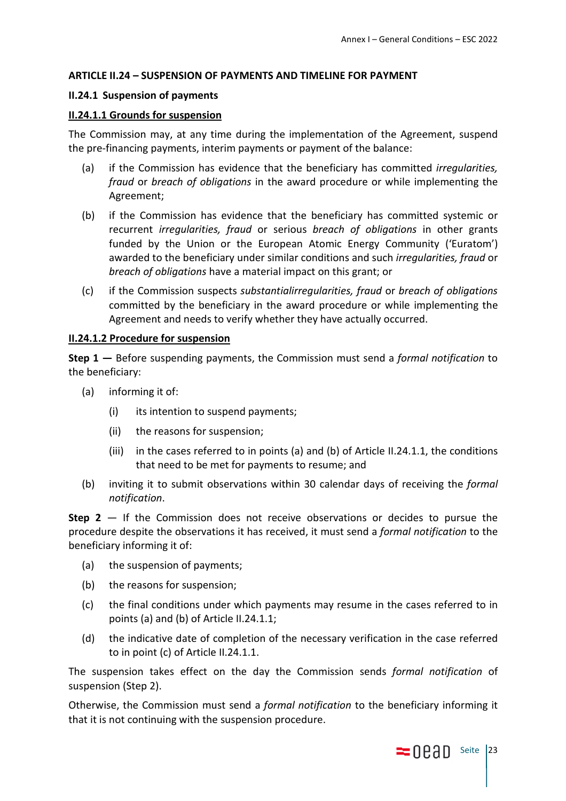## **ARTICLE II.24 – SUSPENSION OF PAYMENTS AND TIMELINE FOR PAYMENT**

### **II.24.1 Suspension of payments**

### **II.24.1.1 Grounds for suspension**

The Commission may, at any time during the implementation of the Agreement, suspend the pre-financing payments, interim payments or payment of the balance:

- (a) if the Commission has evidence that the beneficiary has committed *irregularities, fraud* or *breach of obligations* in the award procedure or while implementing the Agreement;
- (b) if the Commission has evidence that the beneficiary has committed systemic or recurrent *irregularities, fraud* or serious *breach of obligations* in other grants funded by the Union or the European Atomic Energy Community ('Euratom') awarded to the beneficiary under similar conditions and such *irregularities, fraud* or *breach of obligations* have a material impact on this grant; or
- (c) if the Commission suspects *substantialirregularities, fraud* or *breach of obligations* committed by the beneficiary in the award procedure or while implementing the Agreement and needs to verify whether they have actually occurred.

### **II.24.1.2 Procedure for suspension**

**Step 1 —** Before suspending payments, the Commission must send a *formal notification* to the beneficiary:

- (a) informing it of:
	- (i) its intention to suspend payments;
	- (ii) the reasons for suspension;
	- (iii) in the cases referred to in points (a) and (b) of Article II.24.1.1, the conditions that need to be met for payments to resume; and
- (b) inviting it to submit observations within 30 calendar days of receiving the *formal notification*.

**Step 2** — If the Commission does not receive observations or decides to pursue the procedure despite the observations it has received, it must send a *formal notification* to the beneficiary informing it of:

- (a) the suspension of payments;
- (b) the reasons for suspension;
- (c) the final conditions under which payments may resume in the cases referred to in points (a) and (b) of Article II.24.1.1;
- (d) the indicative date of completion of the necessary verification in the case referred to in point (c) of Article II.24.1.1.

The suspension takes effect on the day the Commission sends *formal notification* of suspension (Step 2).

Otherwise, the Commission must send a *formal notification* to the beneficiary informing it that it is not continuing with the suspension procedure.

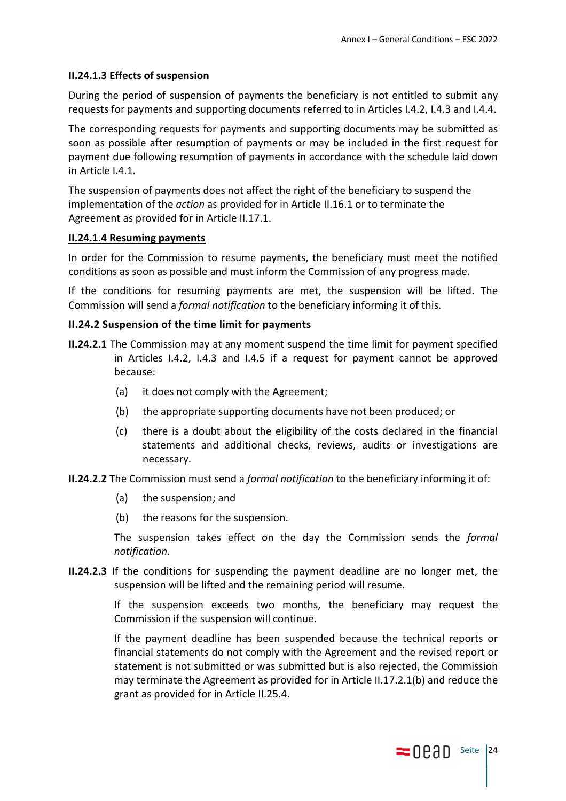## **II.24.1.3 Effects of suspension**

During the period of suspension of payments the beneficiary is not entitled to submit any requests for payments and supporting documents referred to in Articles I.4.2, I.4.3 and I.4.4.

The corresponding requests for payments and supporting documents may be submitted as soon as possible after resumption of payments or may be included in the first request for payment due following resumption of payments in accordance with the schedule laid down in Article I.4.1.

The suspension of payments does not affect the right of the beneficiary to suspend the implementation of the *action* as provided for in Article II.16.1 or to terminate the Agreement as provided for in Article II.17.1.

### **II.24.1.4 Resuming payments**

In order for the Commission to resume payments, the beneficiary must meet the notified conditions as soon as possible and must inform the Commission of any progress made.

If the conditions for resuming payments are met, the suspension will be lifted. The Commission will send a *formal notification* to the beneficiary informing it of this.

### **II.24.2 Suspension of the time limit for payments**

- **II.24.2.1** The Commission may at any moment suspend the time limit for payment specified in Articles I.4.2, I.4.3 and I.4.5 if a request for payment cannot be approved because:
	- (a) it does not comply with the Agreement;
	- (b) the appropriate supporting documents have not been produced; or
	- (c) there is a doubt about the eligibility of the costs declared in the financial statements and additional checks, reviews, audits or investigations are necessary.
- **II.24.2.2** The Commission must send a *formal notification* to the beneficiary informing it of:
	- (a) the suspension; and
	- (b) the reasons for the suspension.

The suspension takes effect on the day the Commission sends the *formal notification*.

**II.24.2.3** If the conditions for suspending the payment deadline are no longer met, the suspension will be lifted and the remaining period will resume.

> If the suspension exceeds two months, the beneficiary may request the Commission if the suspension will continue.

> If the payment deadline has been suspended because the technical reports or financial statements do not comply with the Agreement and the revised report or statement is not submitted or was submitted but is also rejected, the Commission may terminate the Agreement as provided for in Article II.17.2.1(b) and reduce the grant as provided for in Article II.25.4.

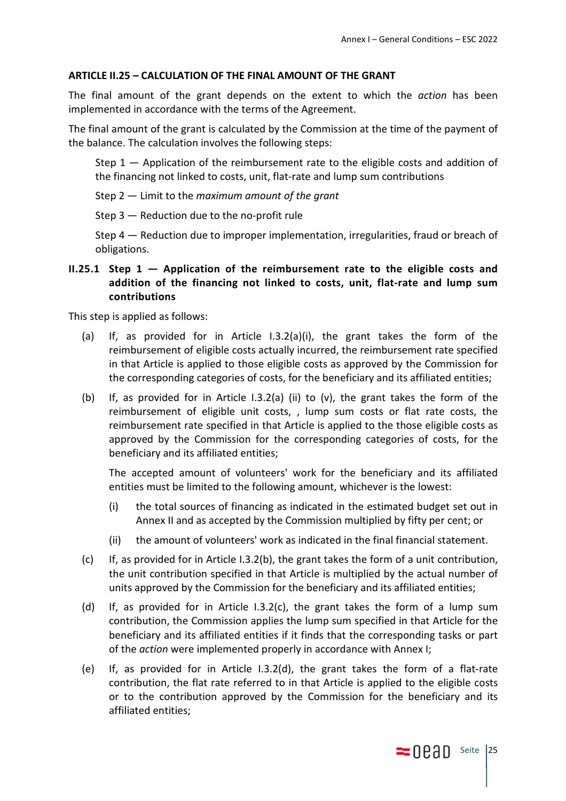#### **ARTICLE II.25 – CALCULATION OF THE FINAL AMOUNT OF THE GRANT**

The final amount of the grant depends on the extent to which the *action* has been implemented in accordance with the terms of the Agreement.

The final amount of the grant is calculated by the Commission at the time of the payment of the balance. The calculation involves the following steps:

Step 1 — Application of the reimbursement rate to the eligible costs and addition of the financing not linked to costs, unit, flat-rate and lump sum contributions

Step 2 — Limit to the *maximum amount of the grant*

Step 3 — Reduction due to the no-profit rule

Step 4 — Reduction due to improper implementation, irregularities, fraud or breach of obligations.

**II.25.1 Step 1 — Application of the reimbursement rate to the eligible costs and addition of the financing not linked to costs, unit, flat-rate and lump sum contributions** 

This step is applied as follows:

- (a) If, as provided for in Article I.3.2(a)(i), the grant takes the form of the reimbursement of eligible costs actually incurred, the reimbursement rate specified in that Article is applied to those eligible costs as approved by the Commission for the corresponding categories of costs, for the beneficiary and its affiliated entities;
- (b) If, as provided for in Article I.3.2(a) (ii) to (v), the grant takes the form of the reimbursement of eligible unit costs, , lump sum costs or flat rate costs, the reimbursement rate specified in that Article is applied to the those eligible costs as approved by the Commission for the corresponding categories of costs, for the beneficiary and its affiliated entities;

The accepted amount of volunteers' work for the beneficiary and its affiliated entities must be limited to the following amount, whichever is the lowest:

- (i) the total sources of financing as indicated in the estimated budget set out in Annex II and as accepted by the Commission multiplied by fifty per cent; or
- (ii) the amount of volunteers' work as indicated in the final financial statement.
- $(c)$  If, as provided for in Article I.3.2(b), the grant takes the form of a unit contribution, the unit contribution specified in that Article is multiplied by the actual number of units approved by the Commission for the beneficiary and its affiliated entities;
- (d) If, as provided for in Article I.3.2(c), the grant takes the form of a lump sum contribution, the Commission applies the lump sum specified in that Article for the beneficiary and its affiliated entities if it finds that the corresponding tasks or part of the *action* were implemented properly in accordance with Annex I;
- (e) If, as provided for in Article I.3.2(d), the grant takes the form of a flat-rate contribution, the flat rate referred to in that Article is applied to the eligible costs or to the contribution approved by the Commission for the beneficiary and its affiliated entities;

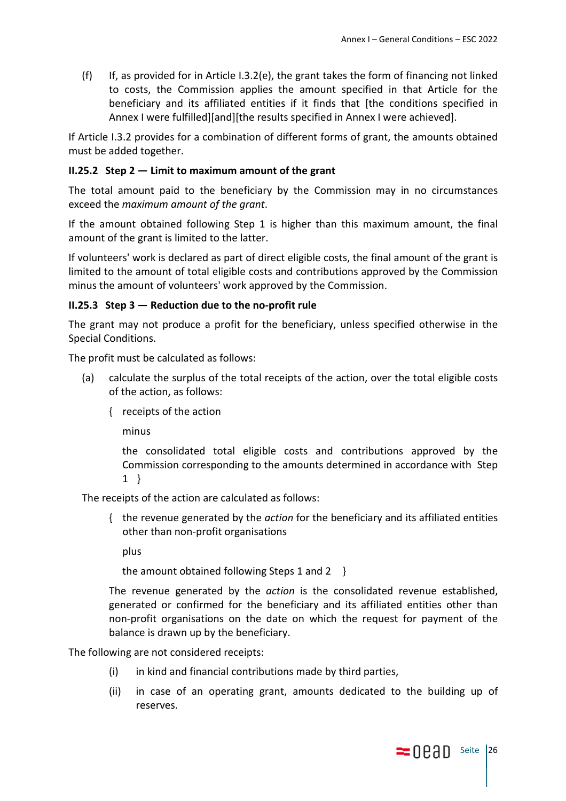(f) If, as provided for in Article I.3.2(e), the grant takes the form of financing not linked to costs, the Commission applies the amount specified in that Article for the beneficiary and its affiliated entities if it finds that [the conditions specified in Annex I were fulfilled][and][the results specified in Annex I were achieved].

If Article I.3.2 provides for a combination of different forms of grant, the amounts obtained must be added together.

# **II.25.2 Step 2 — Limit to maximum amount of the grant**

The total amount paid to the beneficiary by the Commission may in no circumstances exceed the *maximum amount of the grant*.

If the amount obtained following Step 1 is higher than this maximum amount, the final amount of the grant is limited to the latter.

If volunteers' work is declared as part of direct eligible costs, the final amount of the grant is limited to the amount of total eligible costs and contributions approved by the Commission minus the amount of volunteers' work approved by the Commission.

### **II.25.3 Step 3 — Reduction due to the no-profit rule**

The grant may not produce a profit for the beneficiary, unless specified otherwise in the Special Conditions.

The profit must be calculated as follows:

- (a) calculate the surplus of the total receipts of the action, over the total eligible costs of the action, as follows:
	- { receipts of the action

minus

the consolidated total eligible costs and contributions approved by the Commission corresponding to the amounts determined in accordance with Step 1 }

The receipts of the action are calculated as follows:

{ the revenue generated by the *action* for the beneficiary and its affiliated entities other than non-profit organisations

plus

the amount obtained following Steps 1 and 2 }

The revenue generated by the *action* is the consolidated revenue established, generated or confirmed for the beneficiary and its affiliated entities other than non-profit organisations on the date on which the request for payment of the balance is drawn up by the beneficiary.

The following are not considered receipts:

- (i) in kind and financial contributions made by third parties,
- (ii) in case of an operating grant, amounts dedicated to the building up of reserves.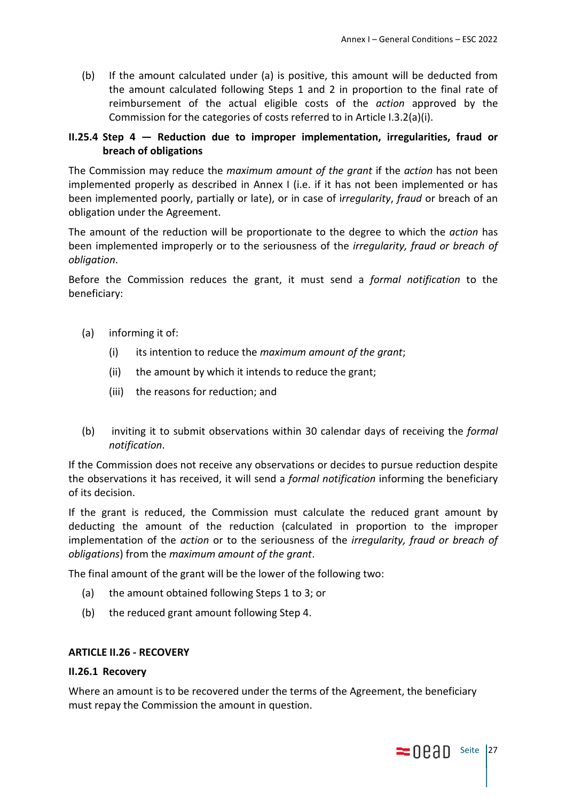(b) If the amount calculated under (a) is positive, this amount will be deducted from the amount calculated following Steps 1 and 2 in proportion to the final rate of reimbursement of the actual eligible costs of the *action* approved by the Commission for the categories of costs referred to in Article I.3.2(a)(i).

# **II.25.4 Step 4 — Reduction due to improper implementation, irregularities, fraud or breach of obligations**

The Commission may reduce the *maximum amount of the grant* if the *action* has not been implemented properly as described in Annex I (i.e. if it has not been implemented or has been implemented poorly, partially or late), or in case of i*rregularity*, *fraud* or breach of an obligation under the Agreement.

The amount of the reduction will be proportionate to the degree to which the *action* has been implemented improperly or to the seriousness of the *irregularity, fraud or breach of obligation*.

Before the Commission reduces the grant, it must send a *formal notification* to the beneficiary:

- (a) informing it of:
	- (i) its intention to reduce the *maximum amount of the grant*;
	- (ii) the amount by which it intends to reduce the grant;
	- (iii) the reasons for reduction; and
- (b) inviting it to submit observations within 30 calendar days of receiving the *formal notification*.

If the Commission does not receive any observations or decides to pursue reduction despite the observations it has received, it will send a *formal notification* informing the beneficiary of its decision.

If the grant is reduced, the Commission must calculate the reduced grant amount by deducting the amount of the reduction (calculated in proportion to the improper implementation of the *action* or to the seriousness of the *irregularity, fraud or breach of obligations*) from the *maximum amount of the grant*.

The final amount of the grant will be the lower of the following two:

- (a) the amount obtained following Steps 1 to 3; or
- (b) the reduced grant amount following Step 4.

### **ARTICLE II.26 - RECOVERY**

#### **II.26.1 Recovery**

Where an amount is to be recovered under the terms of the Agreement, the beneficiary must repay the Commission the amount in question.

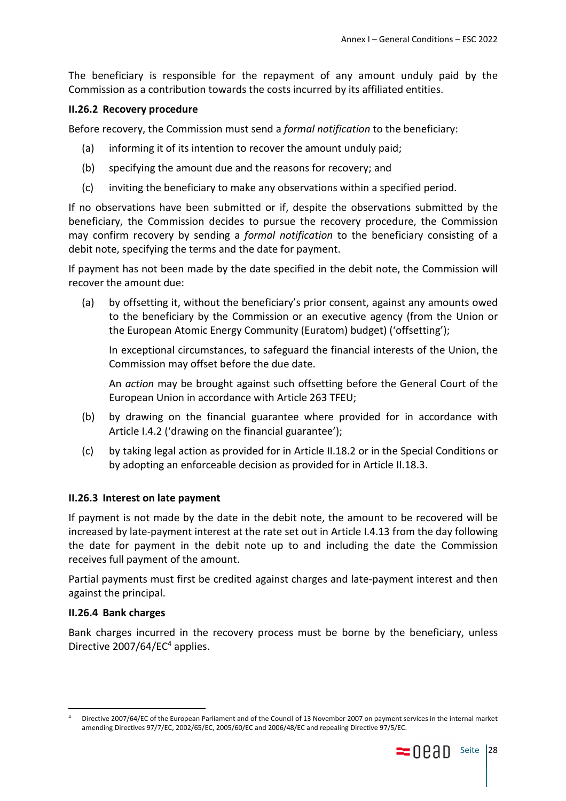The beneficiary is responsible for the repayment of any amount unduly paid by the Commission as a contribution towards the costs incurred by its affiliated entities.

### **II.26.2 Recovery procedure**

Before recovery, the Commission must send a *formal notification* to the beneficiary:

- (a) informing it of its intention to recover the amount unduly paid;
- (b) specifying the amount due and the reasons for recovery; and
- (c) inviting the beneficiary to make any observations within a specified period.

If no observations have been submitted or if, despite the observations submitted by the beneficiary, the Commission decides to pursue the recovery procedure, the Commission may confirm recovery by sending a *formal notification* to the beneficiary consisting of a debit note, specifying the terms and the date for payment.

If payment has not been made by the date specified in the debit note, the Commission will recover the amount due:

(a) by offsetting it, without the beneficiary's prior consent, against any amounts owed to the beneficiary by the Commission or an executive agency (from the Union or the European Atomic Energy Community (Euratom) budget) ('offsetting');

In exceptional circumstances, to safeguard the financial interests of the Union, the Commission may offset before the due date.

An *action* may be brought against such offsetting before the General Court of the European Union in accordance with Article 263 TFEU;

- (b) by drawing on the financial guarantee where provided for in accordance with Article I.4.2 ('drawing on the financial guarantee');
- (c) by taking legal action as provided for in Article II.18.2 or in the Special Conditions or by adopting an enforceable decision as provided for in Article II.18.3.

### **II.26.3 Interest on late payment**

If payment is not made by the date in the debit note, the amount to be recovered will be increased by late-payment interest at the rate set out in Article I.4.13 from the day following the date for payment in the debit note up to and including the date the Commission receives full payment of the amount.

Partial payments must first be credited against charges and late-payment interest and then against the principal.

### **II.26.4 Bank charges**

Bank charges incurred in the recovery process must be borne by the beneficiary, unless Directive 2007/64/EC<sup>4</sup> applies.

<sup>4</sup> Directive 2007/64/EC of the European Parliament and of the Council of 13 November 2007 on payment services in the internal market amending Directives 97/7/EC, 2002/65/EC, 2005/60/EC and 2006/48/EC and repealing Directive 97/5/EC.

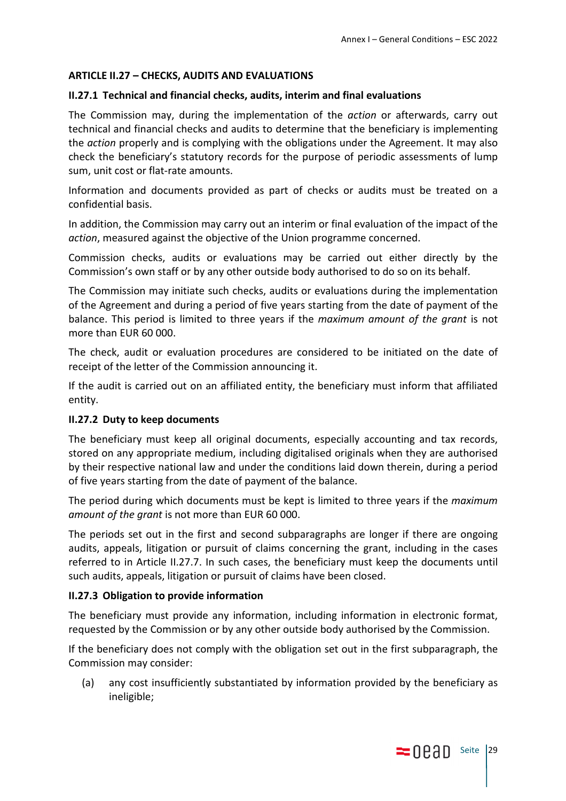# **ARTICLE II.27 – CHECKS, AUDITS AND EVALUATIONS**

## **II.27.1 Technical and financial checks, audits, interim and final evaluations**

The Commission may, during the implementation of the *action* or afterwards, carry out technical and financial checks and audits to determine that the beneficiary is implementing the *action* properly and is complying with the obligations under the Agreement. It may also check the beneficiary's statutory records for the purpose of periodic assessments of lump sum, unit cost or flat-rate amounts.

Information and documents provided as part of checks or audits must be treated on a confidential basis.

In addition, the Commission may carry out an interim or final evaluation of the impact of the *action*, measured against the objective of the Union programme concerned.

Commission checks, audits or evaluations may be carried out either directly by the Commission's own staff or by any other outside body authorised to do so on its behalf.

The Commission may initiate such checks, audits or evaluations during the implementation of the Agreement and during a period of five years starting from the date of payment of the balance. This period is limited to three years if the *maximum amount of the grant* is not more than EUR 60 000.

The check, audit or evaluation procedures are considered to be initiated on the date of receipt of the letter of the Commission announcing it.

If the audit is carried out on an affiliated entity, the beneficiary must inform that affiliated entity.

### **II.27.2 Duty to keep documents**

The beneficiary must keep all original documents, especially accounting and tax records, stored on any appropriate medium, including digitalised originals when they are authorised by their respective national law and under the conditions laid down therein, during a period of five years starting from the date of payment of the balance.

The period during which documents must be kept is limited to three years if the *maximum amount of the grant* is not more than EUR 60 000.

The periods set out in the first and second subparagraphs are longer if there are ongoing audits, appeals, litigation or pursuit of claims concerning the grant, including in the cases referred to in Article II.27.7. In such cases, the beneficiary must keep the documents until such audits, appeals, litigation or pursuit of claims have been closed.

### **II.27.3 Obligation to provide information**

The beneficiary must provide any information, including information in electronic format, requested by the Commission or by any other outside body authorised by the Commission.

If the beneficiary does not comply with the obligation set out in the first subparagraph, the Commission may consider:

(a) any cost insufficiently substantiated by information provided by the beneficiary as ineligible;

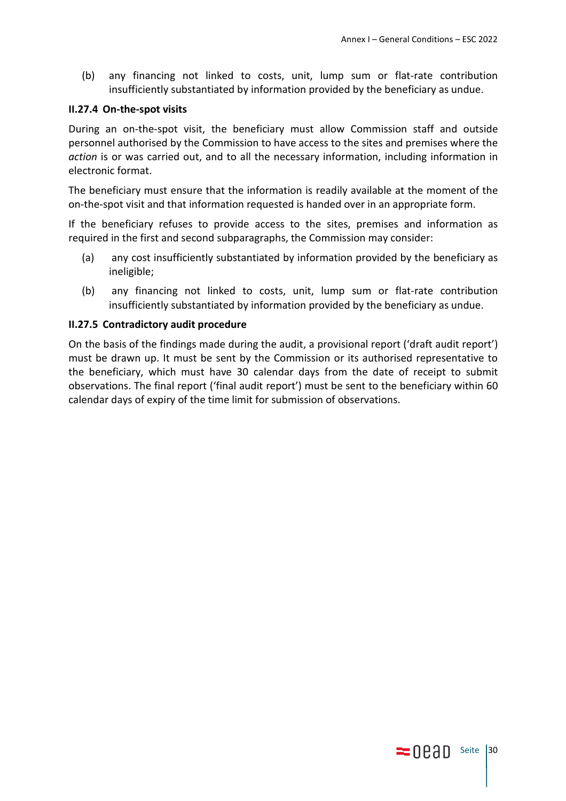(b) any financing not linked to costs, unit, lump sum or flat-rate contribution insufficiently substantiated by information provided by the beneficiary as undue.

#### **II.27.4 On-the-spot visits**

During an on-the-spot visit, the beneficiary must allow Commission staff and outside personnel authorised by the Commission to have access to the sites and premises where the *action* is or was carried out, and to all the necessary information, including information in electronic format.

The beneficiary must ensure that the information is readily available at the moment of the on-the-spot visit and that information requested is handed over in an appropriate form.

If the beneficiary refuses to provide access to the sites, premises and information as required in the first and second subparagraphs, the Commission may consider:

- (a) any cost insufficiently substantiated by information provided by the beneficiary as ineligible;
- (b) any financing not linked to costs, unit, lump sum or flat-rate contribution insufficiently substantiated by information provided by the beneficiary as undue.

#### **II.27.5 Contradictory audit procedure**

On the basis of the findings made during the audit, a provisional report ('draft audit report') must be drawn up. It must be sent by the Commission or its authorised representative to the beneficiary, which must have 30 calendar days from the date of receipt to submit observations. The final report ('final audit report') must be sent to the beneficiary within 60 calendar days of expiry of the time limit for submission of observations.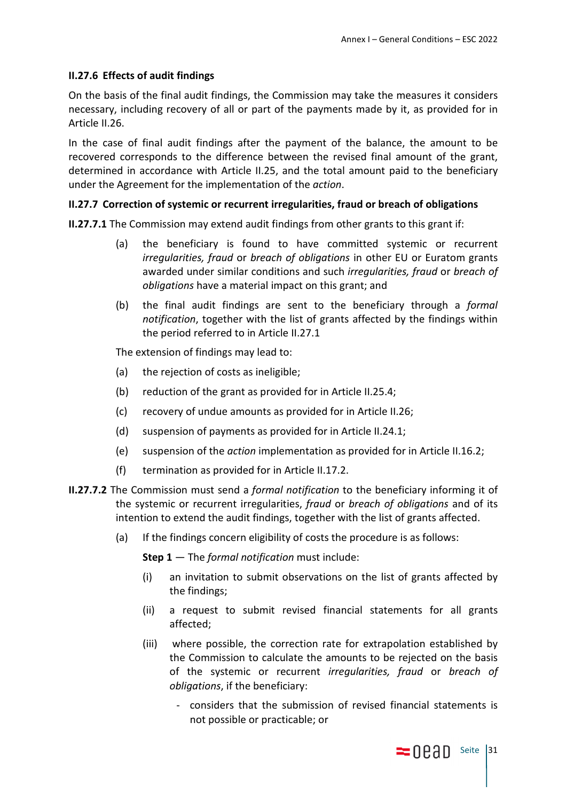# **II.27.6 Effects of audit findings**

On the basis of the final audit findings, the Commission may take the measures it considers necessary, including recovery of all or part of the payments made by it, as provided for in Article II.26.

In the case of final audit findings after the payment of the balance, the amount to be recovered corresponds to the difference between the revised final amount of the grant, determined in accordance with Article II.25, and the total amount paid to the beneficiary under the Agreement for the implementation of the *action*.

### **II.27.7 Correction of systemic or recurrent irregularities, fraud or breach of obligations**

**II.27.7.1** The Commission may extend audit findings from other grants to this grant if:

- (a) the beneficiary is found to have committed systemic or recurrent *irregularities, fraud* or *breach of obligations* in other EU or Euratom grants awarded under similar conditions and such *irregularities, fraud* or *breach of obligations* have a material impact on this grant; and
- (b) the final audit findings are sent to the beneficiary through a *formal notification*, together with the list of grants affected by the findings within the period referred to in Article II.27.1

The extension of findings may lead to:

- (a) the rejection of costs as ineligible;
- (b) reduction of the grant as provided for in Article II.25.4;
- (c) recovery of undue amounts as provided for in Article II.26;
- (d) suspension of payments as provided for in Article II.24.1;
- (e) suspension of the *action* implementation as provided for in Article II.16.2;
- (f) termination as provided for in Article II.17.2.
- **II.27.7.2** The Commission must send a *formal notification* to the beneficiary informing it of the systemic or recurrent irregularities, *fraud* or *breach of obligations* and of its intention to extend the audit findings, together with the list of grants affected.
	- (a) If the findings concern eligibility of costs the procedure is as follows:

**Step 1** — The *formal notification* must include:

- (i) an invitation to submit observations on the list of grants affected by the findings;
- (ii) a request to submit revised financial statements for all grants affected;
- (iii) where possible, the correction rate for extrapolation established by the Commission to calculate the amounts to be rejected on the basis of the systemic or recurrent *irregularities, fraud* or *breach of obligations*, if the beneficiary:
	- considers that the submission of revised financial statements is not possible or practicable; or

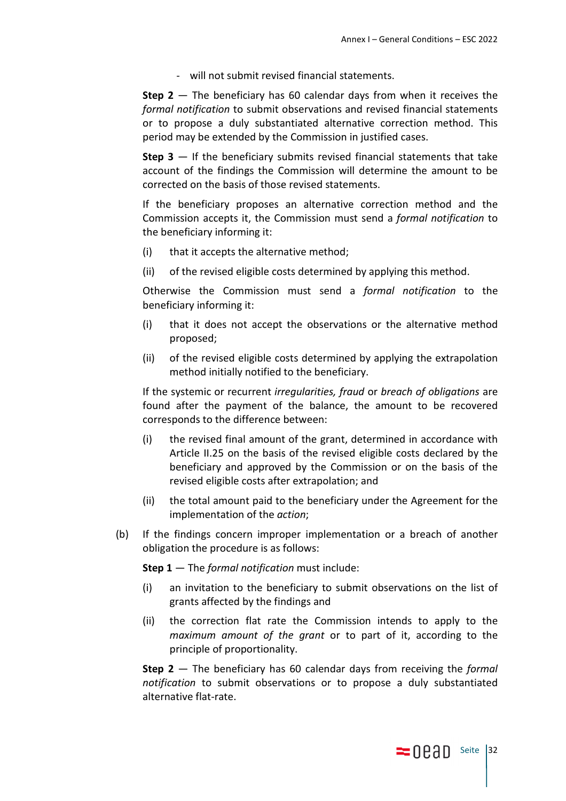- will not submit revised financial statements.

**Step 2** — The beneficiary has 60 calendar days from when it receives the *formal notification* to submit observations and revised financial statements or to propose a duly substantiated alternative correction method. This period may be extended by the Commission in justified cases.

**Step 3** — If the beneficiary submits revised financial statements that take account of the findings the Commission will determine the amount to be corrected on the basis of those revised statements.

If the beneficiary proposes an alternative correction method and the Commission accepts it, the Commission must send a *formal notification* to the beneficiary informing it:

- (i) that it accepts the alternative method;
- (ii) of the revised eligible costs determined by applying this method.

Otherwise the Commission must send a *formal notification* to the beneficiary informing it:

- (i) that it does not accept the observations or the alternative method proposed;
- (ii) of the revised eligible costs determined by applying the extrapolation method initially notified to the beneficiary.

If the systemic or recurrent *irregularities, fraud* or *breach of obligations* are found after the payment of the balance, the amount to be recovered corresponds to the difference between:

- (i) the revised final amount of the grant, determined in accordance with Article II.25 on the basis of the revised eligible costs declared by the beneficiary and approved by the Commission or on the basis of the revised eligible costs after extrapolation; and
- (ii) the total amount paid to the beneficiary under the Agreement for the implementation of the *action*;
- (b) If the findings concern improper implementation or a breach of another obligation the procedure is as follows:

**Step 1** — The *formal notification* must include:

- (i) an invitation to the beneficiary to submit observations on the list of grants affected by the findings and
- (ii) the correction flat rate the Commission intends to apply to the *maximum amount of the grant* or to part of it, according to the principle of proportionality.

**Step 2** — The beneficiary has 60 calendar days from receiving the *formal notification* to submit observations or to propose a duly substantiated alternative flat-rate.